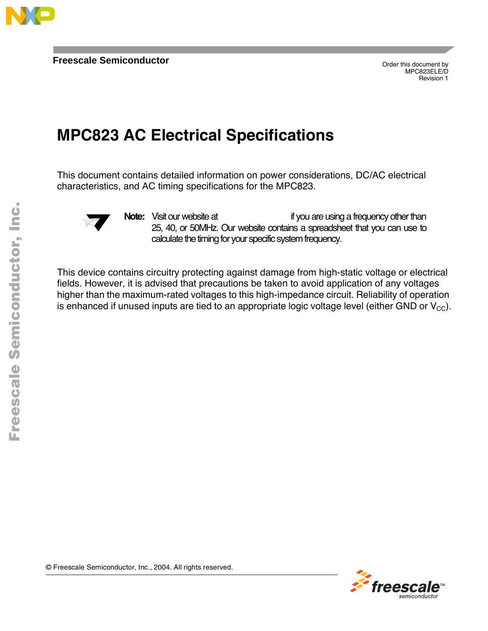

Order this document by MPC823ELE/D Revision 1

# **MPC823 AC Electrical Specifications**

This document contains detailed information on power considerations, DC/AC electrical characteristics, and AC timing specifications for the MPC823.



**Note:** Visit our website at website at which if you are using a frequency other than 25, 40, or 50MHz. Our website contains a spreadsheet that you can use to calculate the timing for your specific system frequency.

This device contains circuitry protecting against damage from high-static voltage or electrical fields. However, it is advised that precautions be taken to avoid application of any voltages higher than the maximum-rated voltages to this high-impedance circuit. Reliability of operation is enhanced if unused inputs are tied to an appropriate logic voltage level (either GND or  $V_{\text{CC}}$ ).



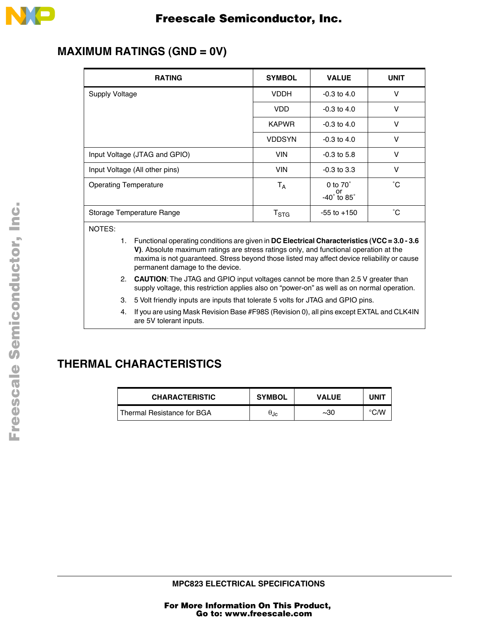

### **MAXIMUM RATINGS (GND = 0V)**

| <b>RATING</b>                  | <b>SYMBOL</b>             | <b>VALUE</b>                                  | <b>UNIT</b> |
|--------------------------------|---------------------------|-----------------------------------------------|-------------|
| Supply Voltage                 | <b>VDDH</b>               | $-0.3$ to $4.0$                               | V           |
|                                | <b>VDD</b>                | $-0.3$ to $4.0$                               | v           |
|                                | <b>KAPWR</b>              | $-0.3$ to $4.0$                               | V           |
|                                | <b>VDDSYN</b>             | $-0.3$ to $4.0$                               | V           |
| Input Voltage (JTAG and GPIO)  | <b>VIN</b>                | $-0.3$ to 5.8                                 | V           |
| Input Voltage (All other pins) | <b>VIN</b>                | $-0.3$ to $3.3$                               | v           |
| <b>Operating Temperature</b>   | $T_A$                     | 0 to $70^\circ$<br>$-40^\circ$ to 85 $^\circ$ | °С          |
| Storage Temperature Range      | $\mathsf{T}_{\text{STG}}$ | $-55$ to $+150$                               | °С          |

NOTES:

- 1. Functional operating conditions are given in **DC Electrical Characteristics (VCC = 3.0 3.6 V)**. Absolute maximum ratings are stress ratings only, and functional operation at the maxima is not guaranteed. Stress beyond those listed may affect device reliability or cause permanent damage to the device.
- 2. **CAUTION**: The JTAG and GPIO input voltages cannot be more than 2.5 V greater than supply voltage, this restriction applies also on "power-on" as well as on normal operation.
- 3. 5 Volt friendly inputs are inputs that tolerate 5 volts for JTAG and GPIO pins.
- 4. If you are using Mask Revision Base #F98S (Revision 0), all pins except EXTAL and CLK4IN are 5V tolerant inputs.

### **THERMAL CHARACTERISTICS**

| <b>CHARACTERISTIC</b>      | <b>SYMBOL</b> | <b>VALUE</b> | UNIT |
|----------------------------|---------------|--------------|------|
| Thermal Resistance for BGA | <b>PJC</b>    | $\sim$ 30    | °C∕W |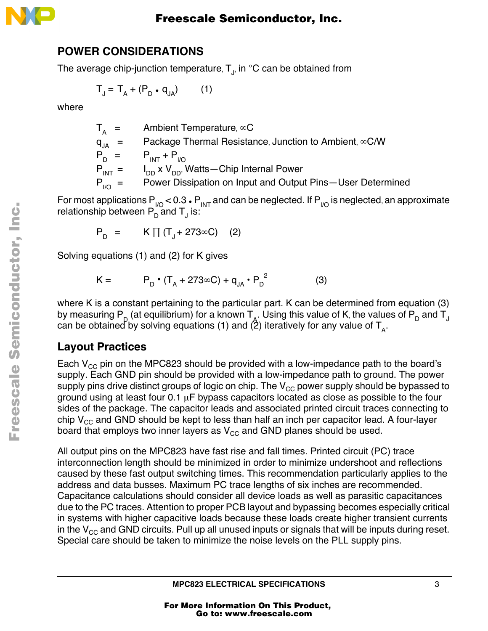

### **POWER CONSIDERATIONS**

The average chip-junction temperature,  ${\sf T}_{\sf j}$ , in  $^{\sf o}{\sf C}$  can be obtained from

$$
T_{J} = T_{A} + (P_{D} \cdot q_{JA}) \qquad (1)
$$

where

| $T_{\alpha}$ =    | Ambient Temperature, $\infty$ C                            |
|-------------------|------------------------------------------------------------|
| $q_{1A}$ =        | Package Thermal Resistance, Junction to Ambient, ∞C/W      |
| $P_{n}$ =         | $P_{INT} + P_{U\Omega}$                                    |
| $P_{INT} =$       | $I_{DD}$ x $V_{DD}$ , Watts - Chip Internal Power          |
| $P_{\text{LO}}$ = | Power Dissipation on Input and Output Pins-User Determined |
|                   |                                                            |

For most applications P<sub>I/O</sub> < 0.3 • P<sub>INT</sub> and can be neglected. If P<sub>I/O</sub> is neglected, an approximate relationship between  $\mathsf{P}_\mathsf{D}^{\phantom{\dag}}$  and  $\mathsf{T}_\mathsf{J}^{\phantom{\dag}}$  is:

 $P_{p} = K \prod (T_{1} + 273 \infty C)$  (2)

Solving equations (1) and (2) for K gives

$$
K = P_{D} \cdot (T_{A} + 273 \infty C) + q_{JA} \cdot P_{D}^{2}
$$
 (3)

where K is a constant pertaining to the particular part. K can be determined from equation (3) by measuring P<sub>p</sub> (at equilibrium) for a known T<sub>A.</sub> Using this value of K, the values of P<sub>p</sub> and T<sub>J</sub> can be obtained by solving equations (1) and (2) iteratively for any value of  $\mathsf{T}_{\mathsf{A}}$ .

### **Layout Practices**

Each  $V_{CC}$  pin on the MPC823 should be provided with a low-impedance path to the board's supply. Each GND pin should be provided with a low-impedance path to ground. The power supply pins drive distinct groups of logic on chip. The  $V_{CC}$  power supply should be bypassed to ground using at least four 0.1  $\mu$ F bypass capacitors located as close as possible to the four sides of the package. The capacitor leads and associated printed circuit traces connecting to chip  $V_{CC}$  and GND should be kept to less than half an inch per capacitor lead. A four-layer board that employs two inner layers as  $V_{CC}$  and GND planes should be used.

All output pins on the MPC823 have fast rise and fall times. Printed circuit (PC) trace interconnection length should be minimized in order to minimize undershoot and reflections caused by these fast output switching times. This recommendation particularly applies to the address and data busses. Maximum PC trace lengths of six inches are recommended. Capacitance calculations should consider all device loads as well as parasitic capacitances due to the PC traces. Attention to proper PCB layout and bypassing becomes especially critical in systems with higher capacitive loads because these loads create higher transient currents in the  $V_{CC}$  and GND circuits. Pull up all unused inputs or signals that will be inputs during reset. Special care should be taken to minimize the noise levels on the PLL supply pins.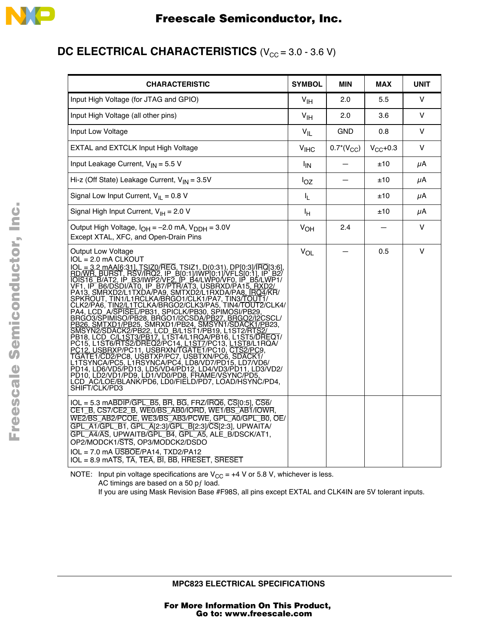

# **DC ELECTRICAL CHARACTERISTICS** (V<sub>CC</sub> = 3.0 - 3.6 V)

| <b>CHARACTERISTIC</b>                                                                                                                                                                                                                                                                                                                                                                                                                                                                                                                                                                                                                                                                                                                                                                                                                                                                                                                                                                                                                                                                                                                                                                                                         | <b>SYMBOL</b>   | <b>MIN</b>     | <b>MAX</b>    | <b>UNIT</b>  |
|-------------------------------------------------------------------------------------------------------------------------------------------------------------------------------------------------------------------------------------------------------------------------------------------------------------------------------------------------------------------------------------------------------------------------------------------------------------------------------------------------------------------------------------------------------------------------------------------------------------------------------------------------------------------------------------------------------------------------------------------------------------------------------------------------------------------------------------------------------------------------------------------------------------------------------------------------------------------------------------------------------------------------------------------------------------------------------------------------------------------------------------------------------------------------------------------------------------------------------|-----------------|----------------|---------------|--------------|
| Input High Voltage (for JTAG and GPIO)                                                                                                                                                                                                                                                                                                                                                                                                                                                                                                                                                                                                                                                                                                                                                                                                                                                                                                                                                                                                                                                                                                                                                                                        | $V_{\text{IH}}$ | 2.0            | 5.5           | V            |
| Input High Voltage (all other pins)                                                                                                                                                                                                                                                                                                                                                                                                                                                                                                                                                                                                                                                                                                                                                                                                                                                                                                                                                                                                                                                                                                                                                                                           | $V_{\text{IH}}$ | 2.0            | 3.6           | V            |
| Input Low Voltage                                                                                                                                                                                                                                                                                                                                                                                                                                                                                                                                                                                                                                                                                                                                                                                                                                                                                                                                                                                                                                                                                                                                                                                                             | $V_{IL}$        | <b>GND</b>     | 0.8           | $\mathsf{V}$ |
| EXTAL and EXTCLK Input High Voltage                                                                                                                                                                                                                                                                                                                                                                                                                                                                                                                                                                                                                                                                                                                                                                                                                                                                                                                                                                                                                                                                                                                                                                                           | V <sub>HC</sub> | $0.7*(V_{CC})$ | $V_{CC}$ +0.3 | $\mathsf{V}$ |
| Input Leakage Current, $V_{IN} = 5.5 V$                                                                                                                                                                                                                                                                                                                                                                                                                                                                                                                                                                                                                                                                                                                                                                                                                                                                                                                                                                                                                                                                                                                                                                                       | $I_{IN}$        |                | ±10           | μA           |
| Hi-z (Off State) Leakage Current, $V_{IN} = 3.5V$                                                                                                                                                                                                                                                                                                                                                                                                                                                                                                                                                                                                                                                                                                                                                                                                                                                                                                                                                                                                                                                                                                                                                                             | $I_{OZ}$        |                | ±10           | μΑ           |
| Signal Low Input Current, $V_{\parallel L} = 0.8 V$                                                                                                                                                                                                                                                                                                                                                                                                                                                                                                                                                                                                                                                                                                                                                                                                                                                                                                                                                                                                                                                                                                                                                                           | I <sub>L</sub>  |                | ±10           | μΑ           |
| Signal High Input Current, $V_{\text{IH}} = 2.0 V$                                                                                                                                                                                                                                                                                                                                                                                                                                                                                                                                                                                                                                                                                                                                                                                                                                                                                                                                                                                                                                                                                                                                                                            | ΙH              |                | ±10           | μΑ           |
| Output High Voltage, $I_{OH} = -2.0$ mA, $V_{DDH} = 3.0V$<br>Except XTAL, XFC, and Open-Drain Pins                                                                                                                                                                                                                                                                                                                                                                                                                                                                                                                                                                                                                                                                                                                                                                                                                                                                                                                                                                                                                                                                                                                            | V <sub>OH</sub> | 2.4            |               | v            |
| <b>Output Low Voltage</b><br>$1OL = 2.0$ mA CLKOUT<br>IOL <u>= 3.2 mAA[6:31], TSIZ0/</u> REG, TSIZ1, D(0:31), DP[0:3]/IRQ[3:6],<br><u>RD/WR, B</u> URST, RSV/IRQ2, IP_B[0:1]/IWP[0:1]/VFLS[0:1], IP_B2/<br>!OIS16_B/AT2, IP_B3/IWP2/V <u>F2, IP_B4/LWP0/VF0, IP_B5/LWP</u> 1/<br>VF1, IP_B6/DSDI/AT0, IP_B7/PTR/AT3, USBRXD/PA15_RXD2/<br>PA13, SMRXD2/L1TXDA/PA9, SMTXD2/L1RXDA/PA8, IRQ4/KR/<br>SPKROUT, TIN1/L1RCLKA/BRGO1/CLK1/PA7, TIN3/TOUT1/<br>CLK2/PA6, TIN2/L1TCLKA/BRGO2/CLK3/PA5, TIN4/TOUT2/CLK4/<br>PA4, LCD A/SPISEL/PB31, SPICLK/PB30, SPIMOSI/PB29, TTT<br>BRGO3/SPIMISO/PB28, BRGO1/I2CSDA/PB27, BRGO2/I2CSCL/<br>PB26, SMTXD1/PB25, SMRXD1/PB24, SMSYN1/SDACK1/PB23,<br>SMSYN2/SDACK2/PB22, LCD_B/L1ST1/PB19, L1ST2/RTS2/<br>PB18, LCD_C <u>/L1ST3/PB17,</u> L1ST4/L1RQA/PB16, L1ST5/DREQ1/<br>PC15, L1ST6/RTS2/DREQ2/PC14, L1ST7/PC13, L1ST8/L1RQA/<br>PČ12, USBRXP/PČ11, USBRXN/TGATE1/PČ10, CTS2/PČ9.<br>TGATE1/CD2/PC8, USBTXP/PC7, USBTXN/PC6, SDACK1/<br>LITSYNCA/PC5, L1RSYNCA/PC4, LD8/VD7/PD15, LD7/VD6/<br>PD14, LD6/VD5/PD13, LD5/VD4/PD12, LD4/VD3/PD11, LD3/VD2/<br>PD10, LD2/VD1/PD9, LD1/VD0/PD8, FRAME/VSYNC/PD5.<br>LCD_AC/LOE/BLANK/PD6, LD0/FIELD/PD7, LOAD/HSYNC/PD4,<br>SHIFT/CLK/PD3 | $V_{OL}$        |                | 0.5           | $\mathsf{V}$ |
| $IOL = 5.3 \text{ mABDIP/GPL_B5}$ , $\overline{BR}$ , $\overline{BG}$ , $\overline{FRZ}/\overline{RQ6}$ , $\overline{CS}[0:5]$ , $\overline{CS6}/$<br>CE1 B, CS7/CE2 B, WE0/BS AB0/IORD, WE1/BS AB1/IOWR,<br>WE2/BS_AB2/PCOE, WE3/BS_AB3/PCWE, GPL_A0/GPL_B0, OE/<br>GPL_A1/GPL_B1, GPL_A[2:3]/GPL_B[2:3]/CS[2:3], UPWAITA/<br>GPL_A4/AS, UPWAITB/GPL_B4, GPL_A5, ALE_B/DSCK/AT1,<br>OP2/MODCK1/STS, OP3/MODCK2/DSDO<br>$IOL = 7.0$ mA $\overline{USBOE}/PA14$ , $TXD2/PA12$<br>IOL = 8.9 mATS, TA, TEA, BI, BB, HRESET, SRESET                                                                                                                                                                                                                                                                                                                                                                                                                                                                                                                                                                                                                                                                                               |                 |                |               |              |

NOTE: Input pin voltage specifications are  $V_{CC} = +4$  V or 5.8 V, whichever is less. AC timings are based on a 50 p $f$  load.

If you are using Mask Revision Base #F98S, all pins except EXTAL and CLK4IN are 5V tolerant inputs.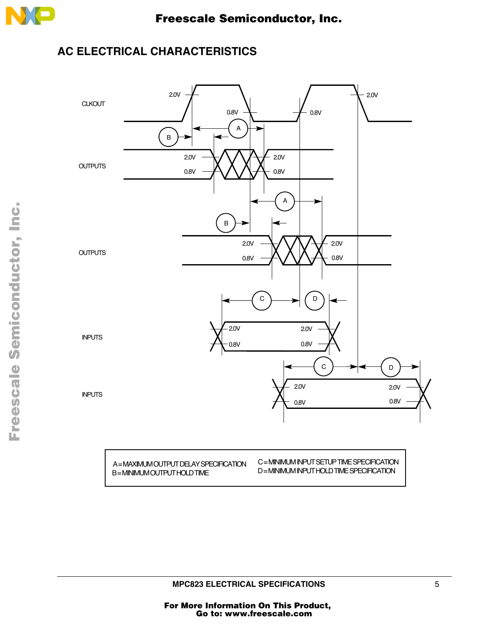

### **AC ELECTRICAL CHARACTERISTICS**



B = MINIMUM OUTPUT HOLD TIME

D = MINIMUM INPUT HOLD TIME SPECIFICATION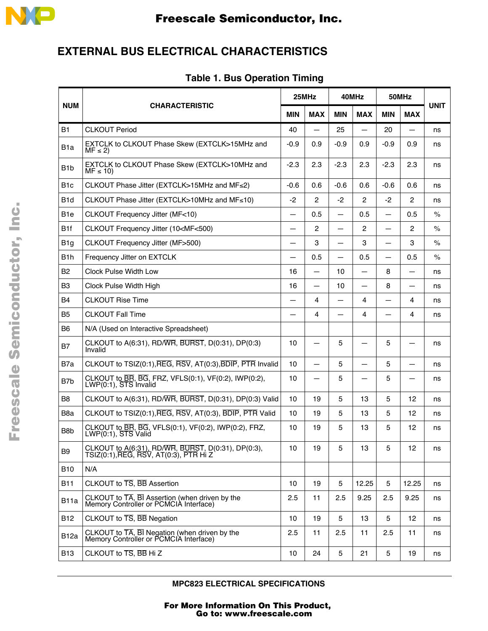

### **EXTERNAL BUS ELECTRICAL CHARACTERISTICS**

#### NUM CHARACTERISTIC **25MHz 40MHz 50MHz UNIT** MIN | MAX | MIN | MAX | MIN | MAX B1 CLKOUT Period 40 — 25 — 20 — ns B1a **EXTCLK** to CLKOUT Phase Skew (EXTCLK>15MHz and  $MF \leq 2$ -0.9 | 0.9 | -0.9 | 0.9 | -0.9 | 0.9 | ns B1b EXTCLK to CLKOUT Phase Skew (EXTCLK>10MHz and  $MF \leq 10$ -2.3 | 2.3 | -2.3 | 2.3 | -2.3 | 2.3 | ns B1c CLKOUT Phase Jitter (EXTCLK>15MHz and MF $\leq$ 2)  $\vert$  -0.6  $\vert$  0.6  $\vert$  -0.6  $\vert$  0.6  $\vert$  0.6  $\vert$  ns B1d CLKOUT Phase Jitter (EXTCLK>10MHz and MF≤10)  $\vert$  -2  $\vert$  2  $\vert$  -2  $\vert$  2  $\vert$  -2  $\vert$  2  $\vert$  ns B1e CLKOUT Frequency Jitter (MF<10)  $\vert - \vert 0.5 \vert - \vert 0.5 \vert - \vert 0.5 \vert$  % B1f CLKOUT Frequency Jitter (10<MF<500)  $\vert - \vert 2 \vert - \vert 2 \vert - \vert 2 \vert 3$ B1g CLKOUT Frequency Jitter (MF>500)  $\vert - \vert 3 \vert - \vert 3 \vert - \vert 3 \vert - \vert 3 \vert$  % B1h Frequency Jitter on EXTCLK  $\vert - \vert 0.5 \vert - \vert 0.5 \vert - \vert 0.5 \vert$  % B2  $\vert$  Clock Pulse Width Low  $\vert$  16  $\vert$   $\vert$  10  $\vert$   $\vert$  8  $\vert$   $\vert$  ns B3  $|$  Clock Pulse Width High  $|$  16  $|$   $|$  10  $|$   $|$  8  $|$   $|$  ns B4 CLKOUT Rise Time  $\vert - \vert 4 \vert - \vert 4 \vert - \vert 4 \vert - \vert 4 \vert$ ns B5 CLKOUT Fall Time  $\vert - \vert 4 \vert - \vert 4 \vert - \vert 4 \vert + \vert 4 \vert$  ns B6 | N/A (Used on Interactive Spreadsheet) B7  $\Big|$  CLKOUT to A(6:31), RD/WR, BURST, D(0:31), DP(0:3) 10  $-$  5  $-$  5  $-$  1s B7a CLKOUT to TSIZ(0:1),REG, RSV, AT(0:3),BDIP, PTR Invalid 10 — 5 — 5 — ns B7b  $\Big|$  CLKOUT to  $\overline{BR}$ ,  $\overline{BG}$ , FRZ, VFLS(0:1), VF(0:2), IWP(0:2), LWP(0:1), STS Invalid 10  $-$  5  $-$  5  $-$  1s B8 CLKOUT to A(6:31), RD/WR, BURST, D(0:31), DP(0:3) Valid 10 19 5 13 5 12 ns B8a CLKOUT to TSIZ(0:1), REG, RSV, AT(0:3), BDIP, PTR Valid | 10 | 19 | 5 | 13 | 5 | 12 | ns B8b  $\Big|$  CLKOUT to  $\overline{BR}$ ,  $\overline{BG}$ , VFLS(0:1), VF(0:2), IWP(0:2), FRZ,<br>LWP(0:1), STS Valid 10 | 19 | 5 | 13 | 5 | 12 | ns B9  $\Big|$  CLKOUT to A(6:31), RD/WR, BURST, D(0:31), DP(0:3), TSIZ(0:1), REG, RSV, AT(0:3), PTR Hi Z 10 | 19 | 5 | 13 | 5 | 12 | ns  $B10$   $N/A$ B11 CLKOUT to TS, BB Assertion 10 10 10 10 19 19 12.25 5 12.25 ns B11a CLKOUT to  $\overline{T}A$ , BI Assertion (when driven by the Memory Controller or PCMCIA Interface) 2.5 | 11 | 2.5 | 9.25 | 2.5 | 9.25 | ns B12 CLKOUT to  $\overline{TS}$ ,  $\overline{BB}$  Negation 10 10 10 19  $\overline{5}$  13  $\overline{5}$  12 ns B12a CLKOUT to  $\overline{T}A$ ,  $\overline{BI}$  Negation (when driven by the Memory Controller or PCMCIA Interface) 2.5 | 11 | 2.5 | 11 | 2.5 | 11 | ns B13 CLKOUT to TS, BB Hi Z 10 24 5 21 5 19 ns

#### **Table 1. Bus Operation Timing**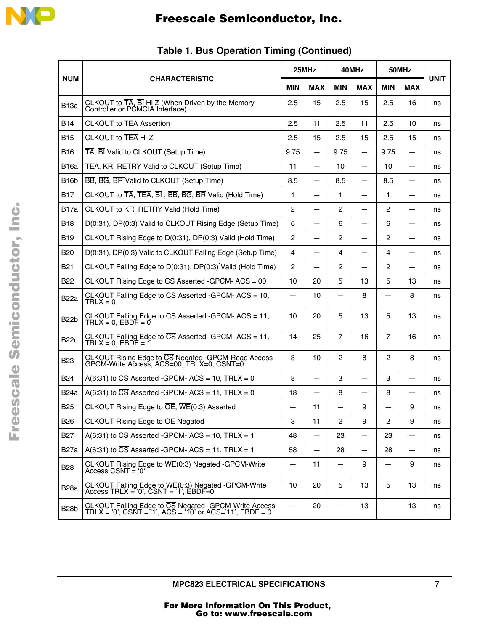

|                   |                                                                                                                               |      | 25MHz                    |            | 40MHz                    |                | 50MHz                    |             |
|-------------------|-------------------------------------------------------------------------------------------------------------------------------|------|--------------------------|------------|--------------------------|----------------|--------------------------|-------------|
| <b>NUM</b>        | <b>CHARACTERISTIC</b>                                                                                                         | MIN  | <b>MAX</b>               | <b>MIN</b> | <b>MAX</b>               | <b>MIN</b>     | <b>MAX</b>               | <b>UNIT</b> |
| <b>B13a</b>       | CLKOUT to TA, BI Hi Z (When Driven by the Memory Controller or PCMCIA Interface)                                              | 2.5  | 15                       | $2.5\,$    | 15                       | 2.5            | 16                       | ns          |
| B14               | <b>CLKOUT to TEA Assertion</b>                                                                                                | 2.5  | 11                       | 2.5        | 11                       | 2.5            | 10                       | ns          |
| <b>B15</b>        | CLKOUT to TEA Hi Z                                                                                                            | 2.5  | 15                       | 2.5        | 15                       | 2.5            | 15                       | ns          |
| <b>B16</b>        | TA, BI Valid to CLKOUT (Setup Time)                                                                                           | 9.75 | $\overline{\phantom{0}}$ | 9.75       | $\overline{\phantom{0}}$ | 9.75           | $\overline{\phantom{0}}$ | ns          |
| <b>B16a</b>       | TEA, KR, RETRY Valid to CLKOUT (Setup Time)                                                                                   | 11   | $\overline{\phantom{0}}$ | 10         | $\overline{\phantom{0}}$ | 10             | $\overline{\phantom{0}}$ | ns          |
| <b>B16b</b>       | BB, BG, BR Valid to CLKOUT (Setup Time)                                                                                       | 8.5  | $\overline{\phantom{0}}$ | 8.5        | $\overline{\phantom{0}}$ | 8.5            | $\overline{\phantom{0}}$ | ns          |
| <b>B17</b>        | CLKOUT to TA, TEA, BI, BB, BG, BR Valid (Hold Time)                                                                           | 1    | $\overline{\phantom{0}}$ | 1          | $\overline{\phantom{0}}$ | 1              | $\overline{\phantom{0}}$ | ns          |
| B17a              | CLKOUT to $\overline{KR}$ , RETRY Valid (Hold Time)                                                                           | 2    | $\overline{\phantom{0}}$ | 2          | $\overline{\phantom{0}}$ | 2              | $\overline{\phantom{0}}$ | ns          |
| <b>B18</b>        | D(0:31), DP(0:3) Valid to CLKOUT Rising Edge (Setup Time)                                                                     | 6    |                          | 6          | $\overline{\phantom{0}}$ | 6              | $\overline{\phantom{0}}$ | ns          |
| <b>B19</b>        | CLKOUT Rising Edge to D(0:31), DP(0:3) Valid (Hold Time)                                                                      | 2    | $\overline{\phantom{0}}$ | 2          | $\overline{\phantom{0}}$ | 2              | $\overline{\phantom{0}}$ | ns          |
| <b>B20</b>        | D(0:31), DP(0:3) Valid to CLKOUT Falling Edge (Setup Time)                                                                    | 4    |                          | 4          | $\overline{\phantom{0}}$ | 4              | $\overline{\phantom{0}}$ | ns          |
| <b>B21</b>        | CLKOUT Falling Edge to D(0:31), DP(0:3) Valid (Hold Time)                                                                     | 2    | $\overline{\phantom{0}}$ | 2          |                          | 2              | $\overline{\phantom{0}}$ | ns          |
| <b>B22</b>        | CLKOUT Rising Edge to $\overline{CS}$ Asserted -GPCM- ACS = 00                                                                | 10   | 20                       | 5          | 13                       | 5              | 13                       | ns          |
| <b>B22a</b>       | CLKOUT Falling Edge to $\overline{CS}$ Asserted -GPCM- ACS = 10,<br>$TRLX = 0$                                                |      | 10                       |            | 8                        |                | 8                        | ns          |
| B <sub>22</sub> b | CLKOUT Falling Edge to $\overline{CS}$ Asserted -GPCM- ACS = 11,<br>TRLX = 0, EBDF = 0                                        | 10   | 20                       | 5          | 13                       | 5              | 13                       | ns          |
| <b>B22c</b>       | CLKOUT Falling Edge to $\overline{CS}$ Asserted -GPCM- ACS = 11,<br>$TRLX = 0$ , $EBDF = 1$                                   | 14   | 25                       | 7          | 16                       | 7              | 16                       | ns          |
| <b>B23</b>        | CLKOUT Rising Edge to CS Negated -GPCM-Read Access -<br>GPCM-Write Access, ACS=00, TRLX=0, CSNT=0                             | 3    | 10                       | 2          | 8                        | $\overline{c}$ | 8                        | ns          |
| <b>B24</b>        | A(6:31) to $\overline{CS}$ Asserted -GPCM- ACS = 10, TRLX = 0                                                                 | 8    | $\overline{\phantom{0}}$ | 3          |                          | 3              | $\overline{\phantom{0}}$ | ns          |
| <b>B24a</b>       | A(6:31) to $\overline{CS}$ Asserted -GPCM- ACS = 11, TRLX = 0                                                                 | 18   |                          | 8          |                          | 8              |                          | ns          |
| <b>B25</b>        | CLKOUT Rising Edge to $\overline{OE}$ , $\overline{WE}(0:3)$ Asserted                                                         |      | 11                       |            | 9                        |                | 9                        | ns          |
| <b>B26</b>        | CLKOUT Rising Edge to OE Negated                                                                                              | 3    | 11                       | 2          | 9                        | 2              | 9                        | ns          |
| <b>B27</b>        | A(6:31) to $\overline{CS}$ Asserted -GPCM- ACS = 10, TRLX = 1                                                                 | 48   | $\overline{\phantom{0}}$ | 23         | —                        | 23             | $\overline{\phantom{0}}$ | ns          |
| <b>B27a</b>       | A(6:31) to $\overline{CS}$ Asserted -GPCM- ACS = 11, TRLX = 1                                                                 | 58   | —                        | 28         | $\overline{\phantom{0}}$ | 28             | —                        | ns          |
| <b>B28</b>        | CLKOUT Rising Edge to $\overline{WE}(0:3)$ Negated -GPCM-Write<br>Access CSNT $\leq$ '0'                                      |      | 11                       |            | 9                        |                | 9                        | ns          |
| <b>B28a</b>       | CLKOUT Falling Edge to WE(0:3) Negated -GPCM-Write<br>Access TRLX = '0', CSNT = '1', EBDF=0                                   | 10   | 20                       | 5          | 13                       | 5              | 13                       | ns          |
| B <sub>28</sub> b | CLKOUT Falling Edge to $\overline{CS}$ Negated -GPCM-Write Access<br>TRLX = '0', CSNT = '1', ACS = '10' or ACS='11', EBDF = 0 |      | 20                       | —          | 13                       |                | 13                       | ns          |

### **Table 1. Bus Operation Timing (Continued)**

n d u  $\mathbf 0$ t o

r, I

n

.<br>ق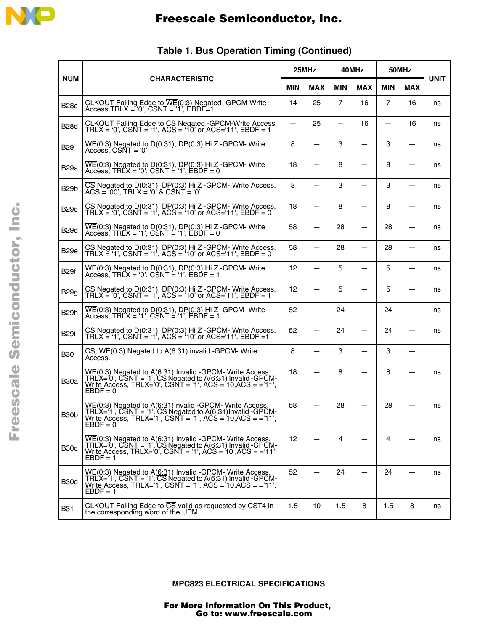

|                   |                                                                                                                                                                                                                                                  |                   | 25MHz      |                | 40MHz      | 50MHz          |            |             |
|-------------------|--------------------------------------------------------------------------------------------------------------------------------------------------------------------------------------------------------------------------------------------------|-------------------|------------|----------------|------------|----------------|------------|-------------|
| <b>NUM</b>        | <b>CHARACTERISTIC</b>                                                                                                                                                                                                                            | <b>MIN</b>        | <b>MAX</b> | <b>MIN</b>     | <b>MAX</b> | <b>MIN</b>     | <b>MAX</b> | <b>UNIT</b> |
| <b>B28c</b>       | CLKOUT Falling Edge to $\overline{\text{WE}}(0:3)$ Negated -GPCM-Write Access TRLX = '0', CSNT = '1', EBDF=1                                                                                                                                     | 14                | 25         | $\overline{7}$ | 16         | $\overline{7}$ | 16         | ns          |
| <b>B28d</b>       | CLKOUT Falling Edge to CS Negated - GPCM-Write Access<br>TRLX = '0', CSNT = '1', ACS = '10' or ACS='11', EBDF = 1                                                                                                                                |                   | 25         |                | 16         |                | 16         | ns          |
| <b>B29</b>        | $\overline{\text{WE}}(0:3)$ Negated to D(0:31), DP(0:3) Hi Z -GPCM- Write Access, CSNT = '0'                                                                                                                                                     | 8                 |            | 3              | —          | 3              |            | ns          |
| <b>B29a</b>       | $\overline{\text{WE}}(0:3)$ Negated to D(0:31), DP(0:3) Hi Z -GPCM- Write Access, TRLX = '0', CSNT = '1', EBDF = 0                                                                                                                               | 18                |            | 8              | —          | 8              |            | ns          |
| <b>B29b</b>       | CS Negated to D(0:31), DP(0:3) Hi Z -GPCM- Write Access,<br>$\angle ACS = 0$ <sup>'</sup> $0$ ', TRLX = '0' & CSNT = '0'                                                                                                                         | 8                 |            | 3              |            | 3              |            | ns          |
| <b>B29c</b>       | CS Negated to D(0:31), DP(0:3) Hi Z -GPCM- Write Access,<br>TRLX $= 0$ , CSNT = '1', ACS = '10' or ACS='11', EBDF = 0                                                                                                                            | 18                |            | 8              |            | 8              |            | ns          |
| <b>B29d</b>       | $\overline{\text{WE}}(0:3)$ Negated to D(0:31), DP(0:3) Hi Z -GPCM- Write Access, TRLX = '1', CSNT = '1', EBDF = 0                                                                                                                               | 58                | —          | 28             |            | 28             |            | ns          |
| B <sub>29e</sub>  | $\overline{CS}$ Negated to D(0:31), DP(0:3) Hi Z -GPCM- Write Access,<br>TRLX = '1', CSNT = '1', ACS = '10' or ACS='11', EBDF = 0                                                                                                                | 58                |            | 28             |            | 28             |            | ns          |
| B <sub>29f</sub>  | $\overline{\text{WE}}(0:3)$ Negated to D(0:31), DP(0:3) Hi Z -GPCM- Write<br>Access, $TR\overline{X} = 0$ , $CS\overline{NT} = 1$ , $EB\overline{DF} = 1$                                                                                        | $12 \overline{ }$ |            | 5              |            | 5              |            | ns          |
| <b>B29g</b>       | CS Negated to D(0:31), DP(0:3) Hi Z -GPCM- Write Access,<br>TRLX = '0', CSNT = '1', ACS = '10' or ACS='11', EBDF = 1                                                                                                                             | 12                |            | 5              | —          | 5              |            | ns          |
| <b>B29h</b>       | $\overline{\text{WE}}(0:3)$ Negated to D(0:31), DP(0:3) Hi Z -GPCM- Write<br>Access, TRLX = '1', CSNT = '1', EBDF = 1                                                                                                                            | 52                |            | 24             | —          | 24             |            | ns          |
| <b>B29i</b>       | CS Negated to D(0:31), DP(0:3) Hi Z -GPCM- Write Access,<br>TRLX $=$ '1', CSNT = '1', ACS = '10' or ACS='11', EBDF = 1                                                                                                                           | 52                |            | 24             | —          | 24             |            | ns          |
| <b>B30</b>        | CS, WE(0:3) Negated to A(6:31) invalid -GPCM- Write<br>Access.                                                                                                                                                                                   | 8                 | —          | 3              |            | 3              |            |             |
| <b>B30a</b>       | $\overline{\text{WE}}(0:3)$ Negated to A(6:31) Invalid -GPCM- Write Access,<br>TRL $X=0'$ , CSNT = '1'. CS Negated to A(6:31) Invalid -GPCM-<br>Write Access, TRLX='0', CSNT = '1', ACS = $10,ACS = -11'$ ,<br>$EBDF = 0$                        | 18                |            | 8              |            | 8              |            | ns          |
| B30b              | $\overline{\text{WE}}(0:3)$ Negated to A(6:31)Invalid -GPCM- Write Access,<br>TRLX='1', CSNT = '1'. CS Negated to A(6:31) Invalid - GPCM-<br>Write Access, $HEX = 1, CSNI = 1, ACS = 10, ACS = 11,$<br>$EBDF = 0$                                | 58                |            | 28             |            | 28             |            | ns          |
| B <sub>30</sub> c | $\overline{\text{WE}}(0.3)$ Negated to A( $6.31$ ) Invalid -GPCM- Write Access,<br>TRL $X=0$ , CSNT = '1'. $\overline{CS}$ Negated to A(6:31) Invalid -GPCM-<br>Write Access, $TRLX = 0$ , $CSNT = 1$ , $ACS = 10$ , $ACS = -11$ ,<br>$EBDF = 1$ | 12                |            | 4              |            | 4              |            | ns          |
| B <sub>30</sub> d | $\overline{\text{WE}}(0.3)$ Negated to A(6.31) Invalid -GPCM- Write Access,<br>TRL $X = 1$ , CSNT = '1'. $\overline{CS}$ Negated to A(6:31) Invalid -GPCM-<br>Write Access, TRLX='1', CSNT = '1', ACS = $10, ACS = -11'$ ,<br>$EBDF = 1$         | 52                |            | 24             |            | 24             |            | ns          |
| <b>B31</b>        | CLKOUT Falling Edge to CS valid as requested by CST4 in<br>the corresponding word of the UPM                                                                                                                                                     | 1.5               | 10         | 1.5            | 8          | 1.5            | 8          | ns          |

### **Table 1. Bus Operation Timing (Continued)**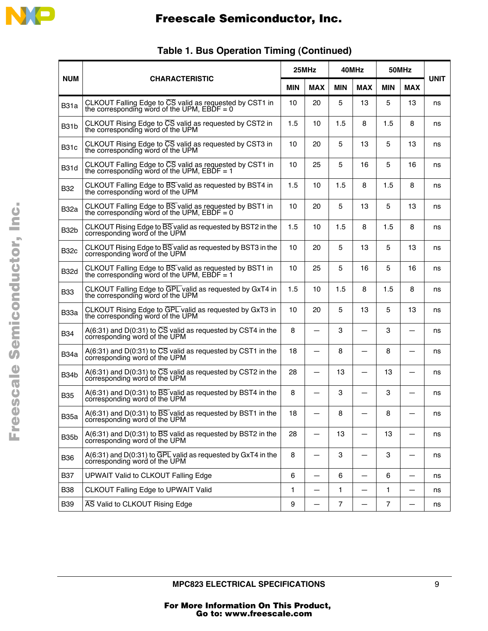

|              |                                                                                                                         |            | 25MHz      |                | 40MHz      | 50MHz          |            |             |
|--------------|-------------------------------------------------------------------------------------------------------------------------|------------|------------|----------------|------------|----------------|------------|-------------|
| <b>NUM</b>   | <b>CHARACTERISTIC</b>                                                                                                   | <b>MIN</b> | <b>MAX</b> | <b>MIN</b>     | <b>MAX</b> | <b>MIN</b>     | <b>MAX</b> | <b>UNIT</b> |
| <b>B31a</b>  | CLKOUT Falling Edge to $\overline{\text{CS}}$ valid as requested by CST1 in the corresponding word of the UPM, EBDF = 0 | 10         | 20         | 5              | 13         | 5              | 13         | ns          |
| <b>B31b</b>  | CLKOUT Rising Edge to CS valid as requested by CST2 in<br>the corresponding word of the UPM                             | 1.5        | 10         | 1.5            | 8          | 1.5            | 8          | ns          |
| <b>B31c</b>  | CLKOUT Rising Edge to CS valid as requested by CST3 in<br>the corresponding word of the UPM                             | 10         | 20         | 5              | 13         | 5              | 13         | ns          |
| <b>B31d</b>  | CLKOUT Falling Edge to CS valid as requested by CST1 in<br>the corresponding word of the UPM, $EBDF = 1$                |            | 25         | 5              | 16         | 5              | 16         | ns          |
| <b>B32</b>   | CLKOUT Falling Edge to BS valid as requested by BST4 in<br>the corresponding word of the UPM                            | 1.5        | 10         | 1.5            | 8          | 1.5            | 8          | ns          |
| <b>B32a</b>  | CLKOUT Falling Edge to BS valid as requested by BST1 in<br>the corresponding word of the UPM, $EBDF = 0$                | 10         | 20         | 5              | 13         | 5              | 13         | ns          |
| <b>B32b</b>  | CLKOUT Rising Edge to BS valid as requested by BST2 in the<br>corresponding word of the UPM                             | 1.5        | 10         | 1.5            | 8          | 1.5            | 8          | ns          |
| <b>B32c</b>  | CLKOUT Rising Edge to BS valid as requested by BST3 in the<br>corresponding word of the UPM                             | 10         | 20         | 5              | 13         | 5              | 13         | ns          |
| B32d         | CLKOUT Falling Edge to BS valid as requested by BST1 in<br>the corresponding word of the UPM, $EBDF = 1$                | 10         | 25         | 5              | 16         | 5              | 16         | ns          |
| <b>B33</b>   | CLKOUT Falling Edge to GPL valid as requested by GxT4 in<br>the corresponding word of the UPM                           | 1.5        | 10         | 1.5            | 8          | 1.5            | 8          | ns          |
| <b>B</b> 33a | CLKOUT Rising Edge to GPL valid as requested by GxT3 in<br>the corresponding word of the UPM                            | 10         | 20         | 5              | 13         | 5              | 13         | ns          |
| <b>B34</b>   | A(6:31) and D(0:31) to $\overline{\text{CS}}$ valid as requested by CST4 in the corresponding word of the UPM           | 8          | —          | 3              | —          | 3              | —          | ns          |
| <b>B34a</b>  | A(6:31) and D(0:31) to $\overline{CS}$ valid as requested by CST1 in the<br>corresponding word of the UPM               | 18         | —          | 8              | —          | 8              | —          | ns          |
| B34b         | $A(6:31)$ and $D(0:31)$ to $\overline{CS}$ valid as requested by CST2 in the<br>corresponding word of the UPM           | 28         |            | 13             |            | 13             |            | ns          |
| <b>B35</b>   | $A(6:31)$ and $D(0:31)$ to $\overline{BS}$ valid as requested by BST4 in the<br>corresponding word of the UPM           | 8          |            | 3              | —          | 3              | —          | ns          |
| <b>B35a</b>  | $A(6:31)$ and $D(0:31)$ to $\overline{BS}$ valid as requested by BST1 in the<br>corresponding word of the UPM           | 18         |            | 8              |            | 8              |            | ns          |
| B35b         | $A(6:31)$ and $D(0:31)$ to $\overline{BS}$ valid as requested by BST2 in the<br>corresponding word of the UPM           | 28         |            | 13             |            | 13             |            | ns          |
| <b>B36</b>   | A(6:31) and D(0:31) to GPL valid as requested by GxT4 in the corresponding word of the UPM                              | 8          | —          | 3              | —          | 3              | —          | ns          |
| <b>B37</b>   | UPWAIT Valid to CLKOUT Falling Edge                                                                                     | 6          | —          | 6              | —          | 6              | —          | ns          |
| <b>B38</b>   | CLKOUT Falling Edge to UPWAIT Valid                                                                                     | 1          | —          | $\mathbf{1}$   | —          | 1              | —          | ns          |
| <b>B39</b>   | AS Valid to CLKOUT Rising Edge                                                                                          | 9          | —          | $\overline{7}$ | —          | $\overline{7}$ | —          | ns          |

### **Table 1. Bus Operation Timing (Continued)**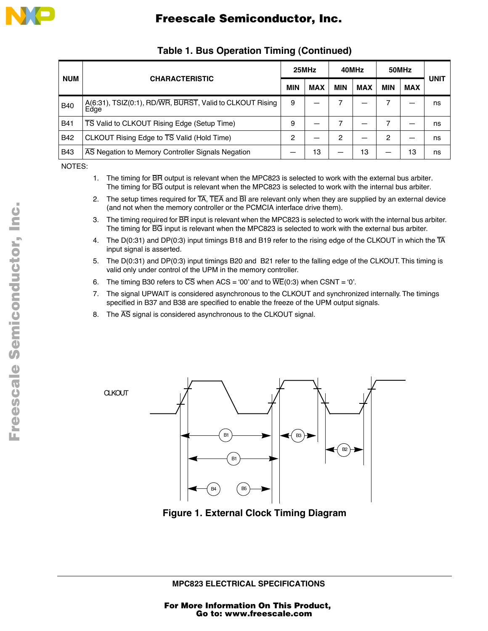

|            | <b>NUM</b><br><b>CHARACTERISTIC</b>                      |   | 25MHz      |            | 40MHz      |     | 50MHz      |             |
|------------|----------------------------------------------------------|---|------------|------------|------------|-----|------------|-------------|
|            |                                                          |   | <b>MAX</b> | <b>MIN</b> | <b>MAX</b> | MIN | <b>MAX</b> | <b>UNIT</b> |
| <b>B40</b> | A(6:31), TSIZ(0:1), RD/WR, BURST, Valid to CLKOUT Rising | 9 |            |            |            |     |            | ns          |
| <b>B41</b> | TS Valid to CLKOUT Rising Edge (Setup Time)              | 9 |            |            |            |     |            | ns          |
| <b>B42</b> | CLKOUT Rising Edge to TS Valid (Hold Time)               | 2 |            | 2          |            | 2   |            | ns          |
| <b>B43</b> | AS Negation to Memory Controller Signals Negation        |   | 13         |            | 13         |     | 13         | ns          |

#### **Table 1. Bus Operation Timing (Continued)**

NOTES:

- 1. The timing for BR output is relevant when the MPC823 is selected to work with the external bus arbiter. The timing for BG output is relevant when the MPC823 is selected to work with the internal bus arbiter.
- 2. The setup times required for  $\overline{TA}$ ,  $\overline{TEA}$  and  $\overline{BI}$  are relevant only when they are supplied by an external device (and not when the memory controller or the PCMCIA interface drive them).
- 3. The timing required for BR input is relevant when the MPC823 is selected to work with the internal bus arbiter. The timing for BG input is relevant when the MPC823 is selected to work with the external bus arbiter.
- 4. The D(0:31) and DP(0:3) input timings B18 and B19 refer to the rising edge of the CLKOUT in which the  $\overline{TA}$ input signal is asserted.
- 5. The D(0:31) and DP(0:3) input timings B20 and B21 refer to the falling edge of the CLKOUT. This timing is valid only under control of the UPM in the memory controller.
- 6. The timing B30 refers to  $\overline{CS}$  when ACS = '00' and to  $\overline{WE}(0:3)$  when CSNT = '0'.
- 7. The signal UPWAIT is considered asynchronous to the CLKOUT and synchronized internally. The timings specified in B37 and B38 are specified to enable the freeze of the UPM output signals.
- 8. The  $\overline{AS}$  signal is considered asynchronous to the CLKOUT signal.





**Figure 1. External Clock Timing Diagram**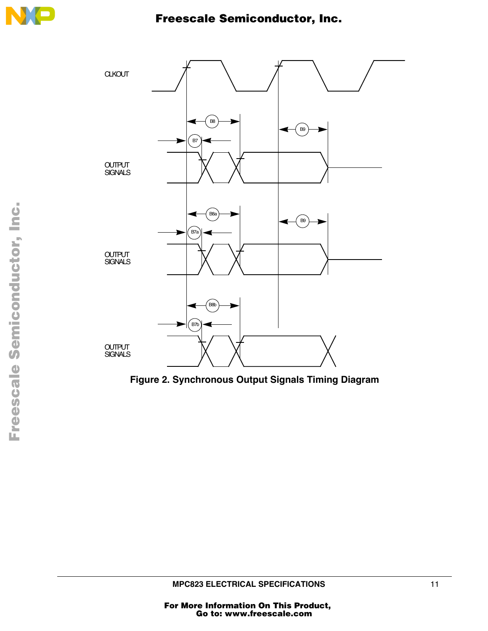



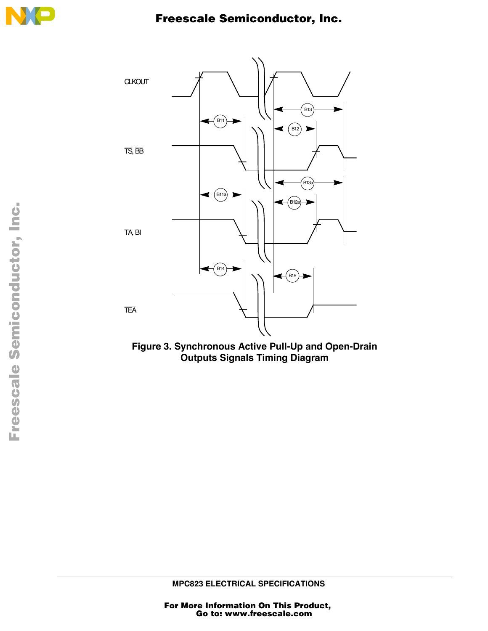



**Figure 3. Synchronous Active Pull-Up and Open-Drain Outputs Signals Timing Diagram**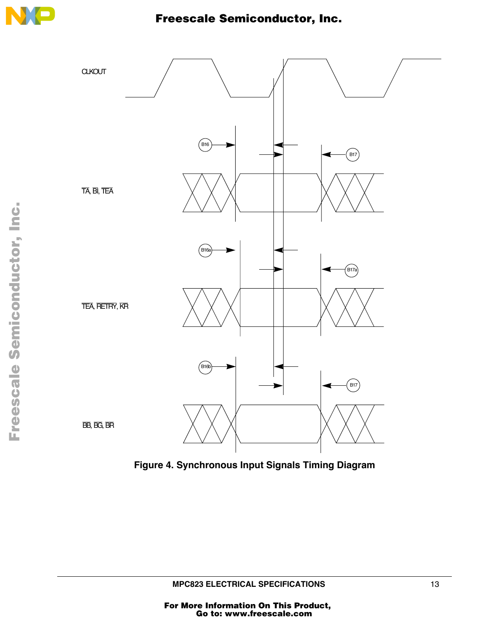



**Figure 4. Synchronous Input Signals Timing Diagram**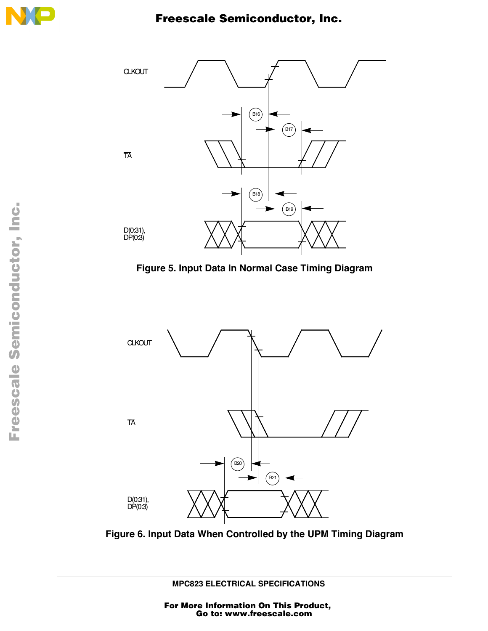







**Figure 6. Input Data When Controlled by the UPM Timing Diagram**

**MPC823 ELECTRICAL SPECIFICATIONS**

For More Information On This Product, Go to: www.freescale.com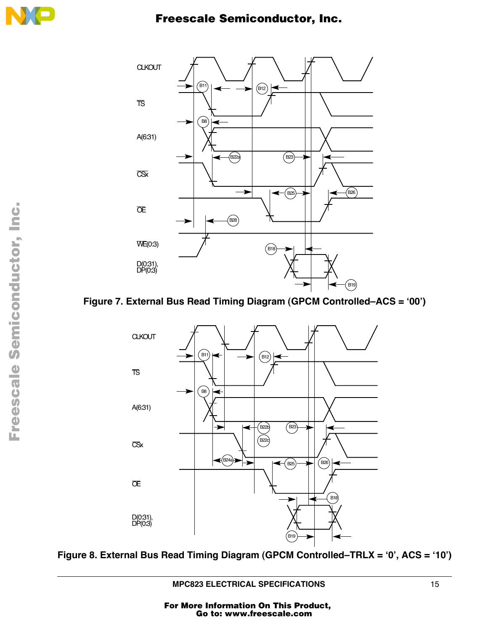



**Figure 7. External Bus Read Timing Diagram (GPCM Controlled–ACS = '00')**



**Figure 8. External Bus Read Timing Diagram (GPCM Controlled–TRLX = '0', ACS = '10')**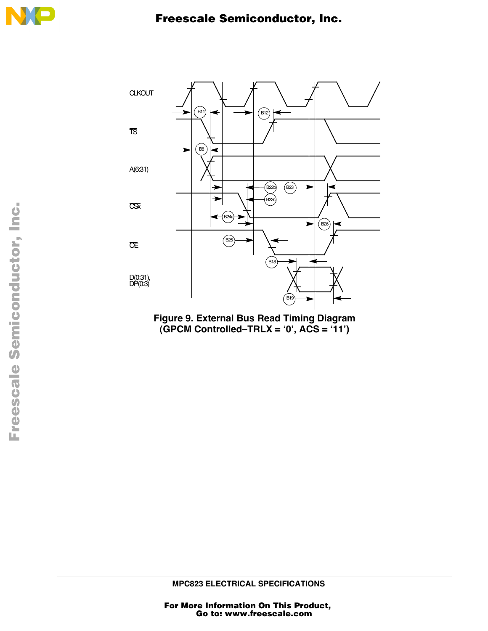



**Figure 9. External Bus Read Timing Diagram (GPCM Controlled–TRLX = '0', ACS = '11')**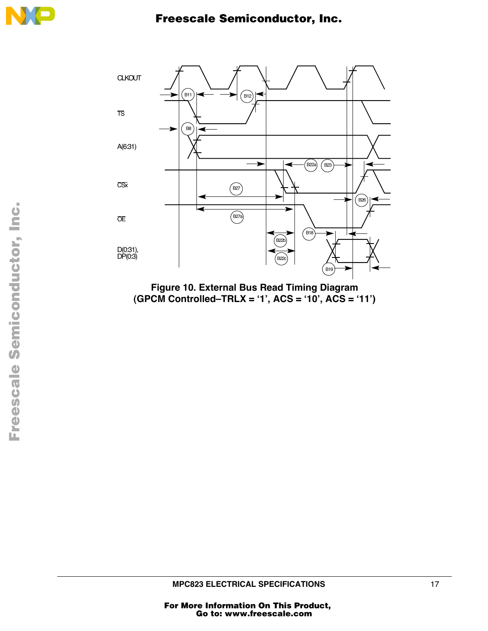



**Figure 10. External Bus Read Timing Diagram (GPCM Controlled–TRLX = '1', ACS = '10', ACS = '11')**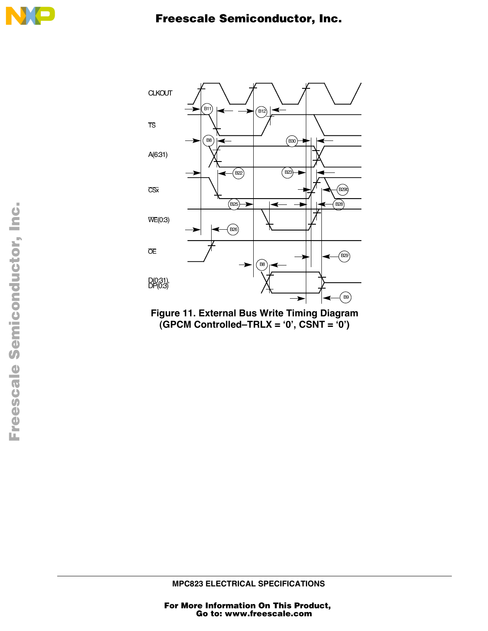



**Figure 11. External Bus Write Timing Diagram (GPCM Controlled–TRLX = '0', CSNT = '0')**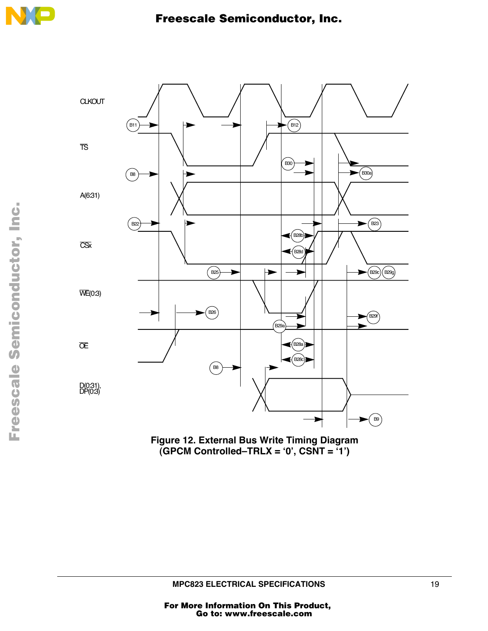



F r  $\boldsymbol{\Phi}$  $\bf \Phi$  $\boldsymbol{\eta}$  $\mathbf 0$ ale  $\boldsymbol{g}$  $\bf \Phi$ mic o

n d u  $\mathbf 0$ t o

r, I

n

.<br>ق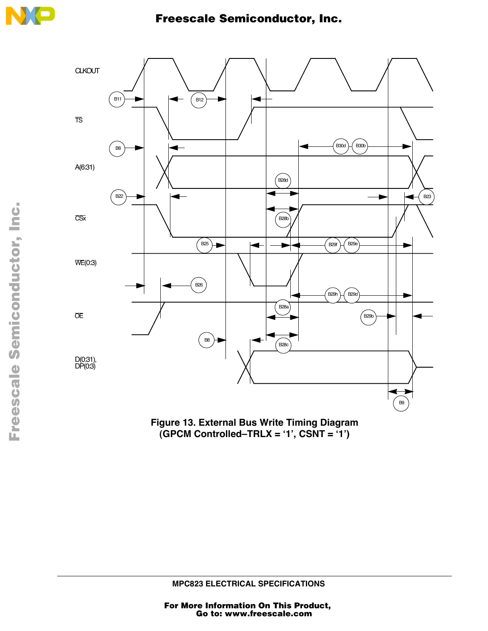



**Figure 13. External Bus Write Timing Diagram (GPCM Controlled–TRLX = '1', CSNT = '1')**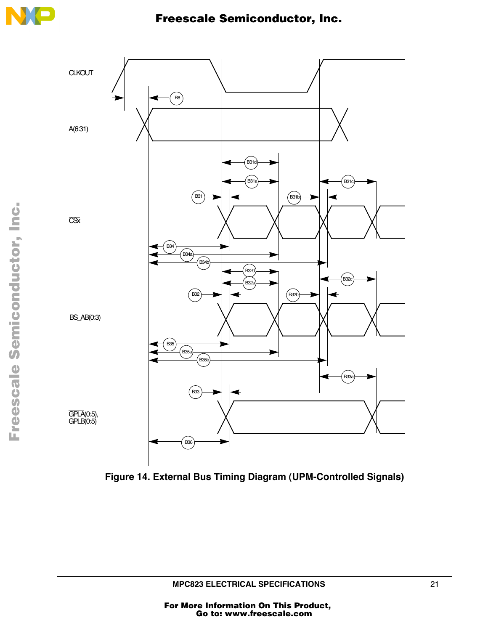

F r  $\boldsymbol{\Phi}$  $\bf \Phi$  $\boldsymbol{\eta}$  $\mathbf 0$ 

ale

 $\boldsymbol{g}$  $\bf \Phi$ 

mic

o n d u  $\mathbf 0$ t o

r, I

n

.<br>ق



**Figure 14. External Bus Timing Diagram (UPM-Controlled Signals)**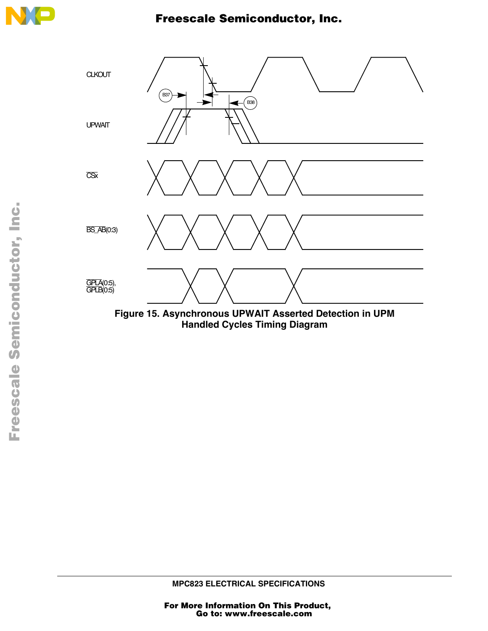

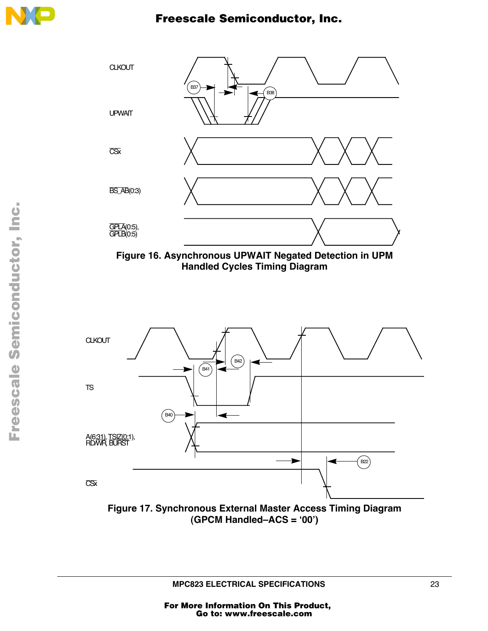







**Figure 17. Synchronous External Master Access Timing Diagram (GPCM Handled–ACS = '00')**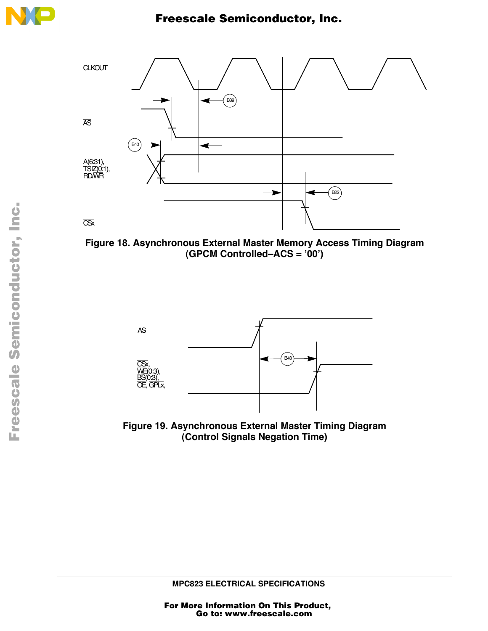



**Figure 18. Asynchronous External Master Memory Access Timing Diagram (GPCM Controlled–ACS = '00')**



**Figure 19. Asynchronous External Master Timing Diagram (Control Signals Negation Time)**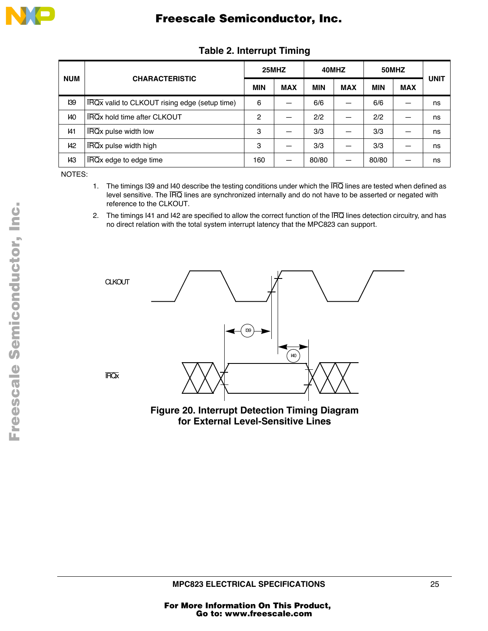

| <b>NUM</b> |                                               | 25MHZ          |            | 40MHZ      |            | 50MHZ      |            |             |
|------------|-----------------------------------------------|----------------|------------|------------|------------|------------|------------|-------------|
|            | <b>CHARACTERISTIC</b>                         | <b>MIN</b>     | <b>MAX</b> | <b>MIN</b> | <b>MAX</b> | <b>MIN</b> | <b>MAX</b> | <b>UNIT</b> |
| 39         | IRQx valid to CLKOUT rising edge (setup time) | 6              |            | 6/6        |            | 6/6        |            | ns          |
| <b>I40</b> | <b>IRO<sub>x</sub></b> hold time after CLKOUT | $\overline{2}$ |            | 2/2        |            | 2/2        |            | ns          |
| 141        | <b>IRQx</b> pulse width low                   | 3              |            | 3/3        |            | 3/3        |            | ns          |
| <b>I42</b> | <b>IRQ</b> <sub>x</sub> pulse width high      | 3              |            | 3/3        |            | 3/3        |            | ns          |
| <b>I43</b> | IRQx edge to edge time                        | 160            |            | 80/80      |            | 80/80      |            | ns          |

#### **Table 2. Interrupt Timing**

NOTES:

- 1. The timings I39 and I40 describe the testing conditions under which the IRQ lines are tested when defined as level sensitive. The IRQ lines are synchronized internally and do not have to be asserted or negated with reference to the CLKOUT.
- 2. The timings I41 and I42 are specified to allow the correct function of the IRQ lines detection circuitry, and has no direct relation with the total system interrupt latency that the MPC823 can support.



**Figure 20. Interrupt Detection Timing Diagram for External Level-Sensitive Lines**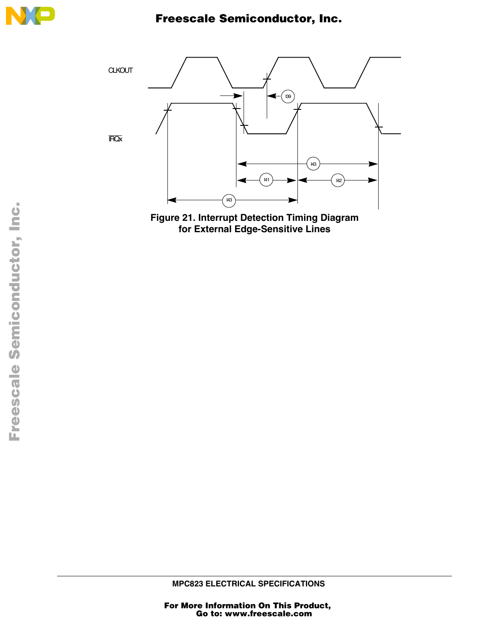



**for External Edge-Sensitive Lines**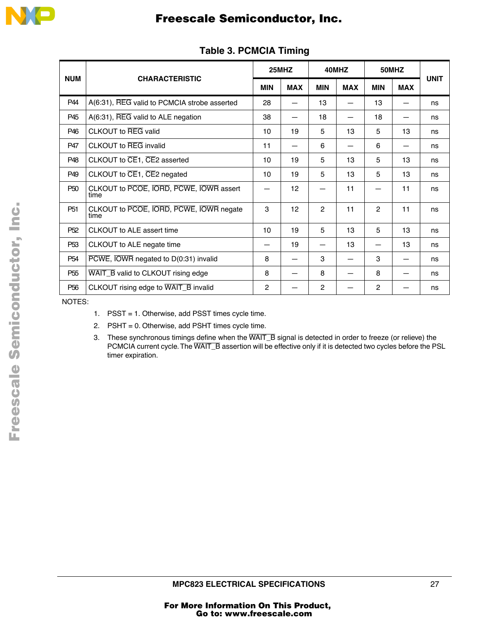

|                 |                                                           |                | 25MHZ      | 40MHZ          |            | 50MHZ          |            |             |
|-----------------|-----------------------------------------------------------|----------------|------------|----------------|------------|----------------|------------|-------------|
| <b>NUM</b>      | <b>CHARACTERISTIC</b>                                     | <b>MIN</b>     | <b>MAX</b> | <b>MIN</b>     | <b>MAX</b> | <b>MIN</b>     | <b>MAX</b> | <b>UNIT</b> |
| P44             | A(6:31), REG valid to PCMCIA strobe asserted              | 28             |            | 13             |            | 13             |            | ns          |
| P45             | $A(6:31)$ , $\overline{\text{REG}}$ valid to ALE negation | 38             |            | 18             |            | 18             |            | ns          |
| P <sub>46</sub> | CLKOUT to REG valid                                       | 10             | 19         | 5              | 13         | 5              | 13         | ns          |
| P47             | <b>CLKOUT to REG invalid</b>                              | 11             |            | 6              |            | 6              |            | ns          |
| P48             | CLKOUT to CE1, CE2 asserted                               | 10             | 19         | 5              | 13         | 5              | 13         | ns          |
| P49             | CLKOUT to CE1, CE2 negated                                | 10             | 19         | 5              | 13         | 5              | 13         | ns          |
| P <sub>50</sub> | CLKOUT to PCOE, IORD, PCWE, IOWR assert<br>time           |                | 12         |                | 11         |                | 11         | ns          |
| P <sub>51</sub> | CLKOUT to PCOE, IORD, PCWE, IOWR negate<br>time           | 3              | 12         | $\overline{c}$ | 11         | $\overline{2}$ | 11         | ns          |
| P <sub>52</sub> | CLKOUT to ALE assert time                                 | 10             | 19         | 5              | 13         | 5              | 13         | ns          |
| P <sub>53</sub> | CLKOUT to ALE negate time                                 |                | 19         |                | 13         |                | 13         | ns          |
| P <sub>54</sub> | PCWE, IOWR negated to D(0:31) invalid                     | 8              |            | 3              |            | 3              |            | ns          |
| P <sub>55</sub> | WAIT_B valid to CLKOUT rising edge                        | 8              |            | 8              |            | 8              |            | ns          |
| P <sub>56</sub> | CLKOUT rising edge to WAIT_B invalid                      | $\overline{2}$ |            | 2              |            | $\overline{2}$ |            | ns          |

#### **Table 3. PCMCIA Timing**

NOTES:

- 1. PSST = 1. Otherwise, add PSST times cycle time.
- 2. PSHT = 0. Otherwise, add PSHT times cycle time.
- 3. These synchronous timings define when the WAIT\_B signal is detected in order to freeze (or relieve) the PCMCIA current cycle. The WAIT\_B assertion will be effective only if it is detected two cycles before the PSL timer expiration.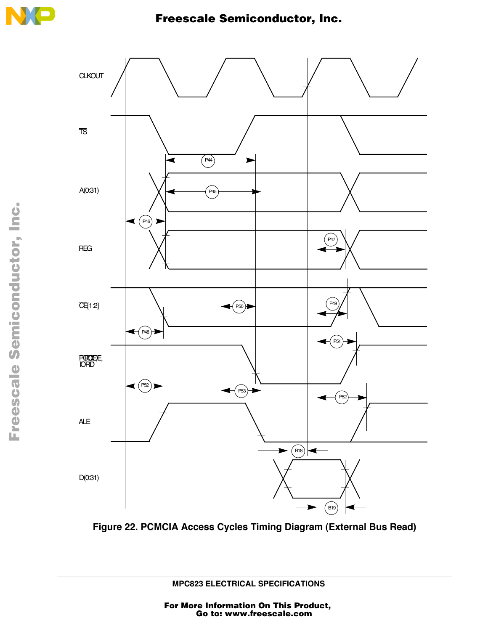



**Figure 22. PCMCIA Access Cycles Timing Diagram (External Bus Read)**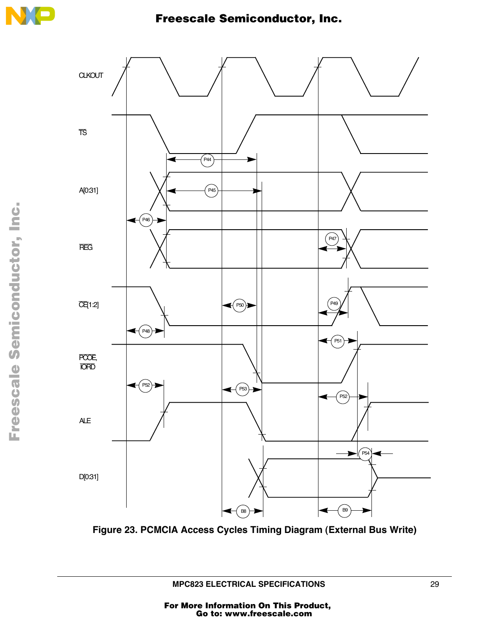



**Figure 23. PCMCIA Access Cycles Timing Diagram (External Bus Write)**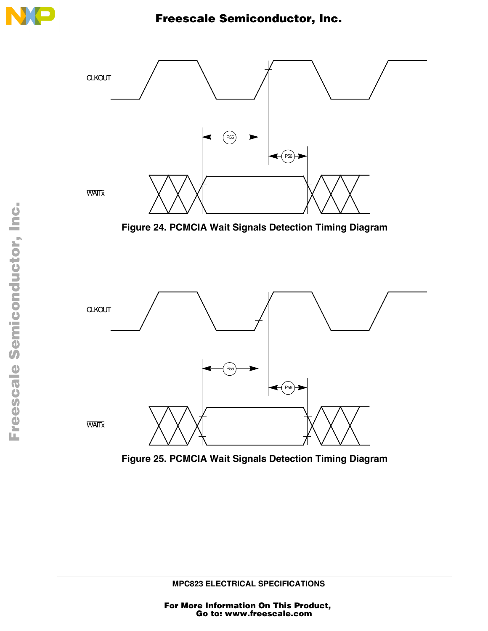



**Figure 24. PCMCIA Wait Signals Detection Timing Diagram**



**Figure 25. PCMCIA Wait Signals Detection Timing Diagram**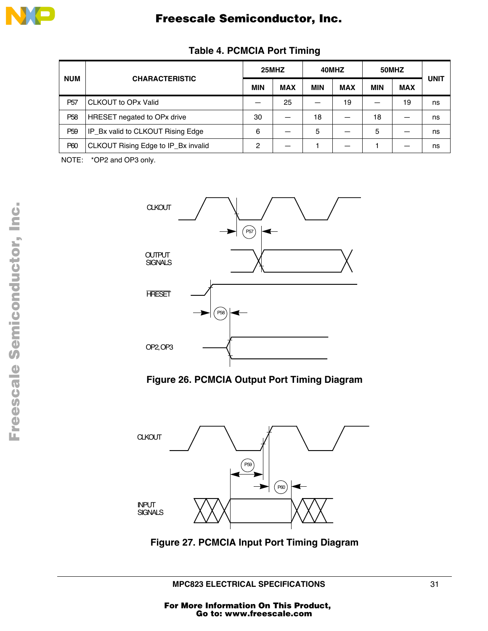

| <b>NUM</b>      | <b>CHARACTERISTIC</b>               | 25MHZ      |            | 40MHZ      |            | 50MHZ      |            |             |
|-----------------|-------------------------------------|------------|------------|------------|------------|------------|------------|-------------|
|                 |                                     | <b>MIN</b> | <b>MAX</b> | <b>MIN</b> | <b>MAX</b> | <b>MIN</b> | <b>MAX</b> | <b>UNIT</b> |
| P <sub>57</sub> | CLKOUT to OPx Valid                 |            | 25         |            | 19         |            | 19         | ns          |
| P <sub>58</sub> | HRESET negated to OPx drive         | 30         |            | 18         |            | 18         |            | ns          |
| P <sub>59</sub> | IP_Bx valid to CLKOUT Rising Edge   | 6          |            | 5          |            | 5          |            | ns          |
| P60             | CLKOUT Rising Edge to IP_Bx invalid | 2          |            |            |            |            |            | ns          |

#### **Table 4. PCMCIA Port Timing**

NOTE: \*OP2 and OP3 only.



**Figure 26. PCMCIA Output Port Timing Diagram**



**Figure 27. PCMCIA Input Port Timing Diagram**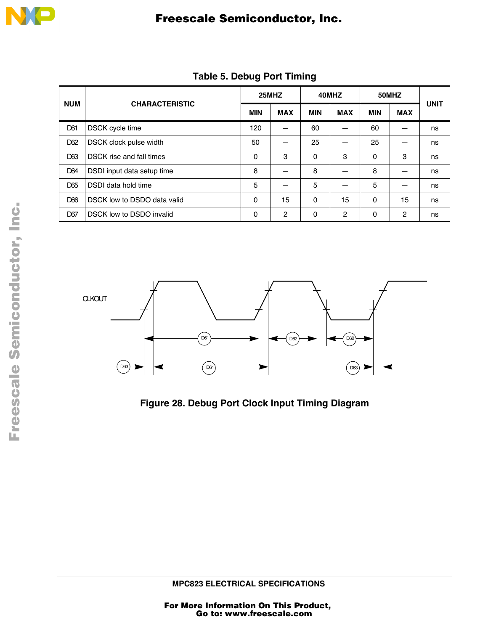| <b>NUM</b>      | <b>CHARACTERISTIC</b>       | 25MHZ      |            | 40MHZ      |            | 50MHZ      |            |             |
|-----------------|-----------------------------|------------|------------|------------|------------|------------|------------|-------------|
|                 |                             | <b>MIN</b> | <b>MAX</b> | <b>MIN</b> | <b>MAX</b> | <b>MIN</b> | <b>MAX</b> | <b>UNIT</b> |
| D61             | DSCK cycle time             | 120        |            | 60         |            | 60         |            | ns          |
| D <sub>62</sub> | DSCK clock pulse width      | 50         |            | 25         |            | 25         |            | ns          |
| D <sub>63</sub> | DSCK rise and fall times    | 0          | 3          | 0          | 3          | 0          | 3          | ns          |
| D64             | DSDI input data setup time  | 8          |            | 8          |            | 8          |            | ns          |
| D65             | DSDI data hold time         | 5          |            | 5          |            | 5          |            | ns          |
| D66             | DSCK low to DSDO data valid | 0          | 15         | 0          | 15         | 0          | 15         | ns          |
| D67             | DSCK low to DSDO invalid    | 0          | 2          | 0          | 2          | 0          | 2          | ns          |

**Table 5. Debug Port Timing**



**Figure 28. Debug Port Clock Input Timing Diagram**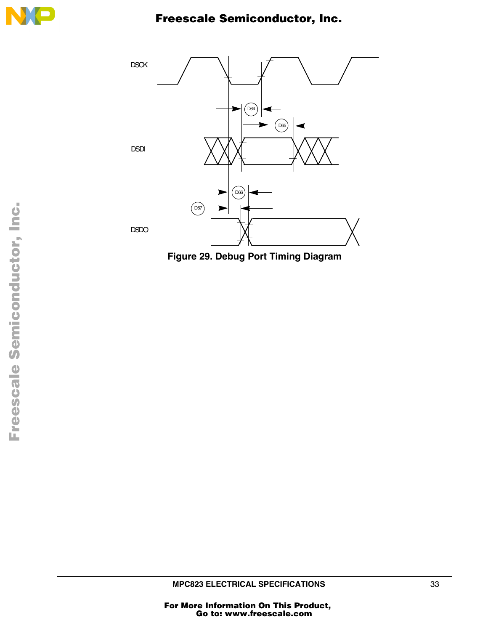



**Figure 29. Debug Port Timing Diagram**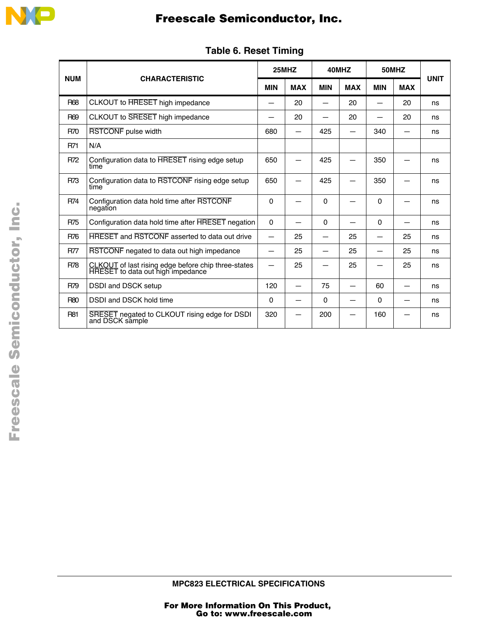

|                 |                                                                                          |            | 25MHZ      |            | 40MHZ      |            | 50MHZ      |             |
|-----------------|------------------------------------------------------------------------------------------|------------|------------|------------|------------|------------|------------|-------------|
| <b>NUM</b>      | <b>CHARACTERISTIC</b>                                                                    | <b>MIN</b> | <b>MAX</b> | <b>MIN</b> | <b>MAX</b> | <b>MIN</b> | <b>MAX</b> | <b>UNIT</b> |
| <b>R68</b>      | CLKOUT to HRESET high impedance                                                          |            | 20         |            | 20         | —          | 20         | ns          |
| R <sub>69</sub> | CLKOUT to SRESET high impedance                                                          |            | 20         |            | 20         |            | 20         | ns          |
| R70             | RSTCONF pulse width                                                                      | 680        |            | 425        |            | 340        |            | ns          |
| R71             | N/A                                                                                      |            |            |            |            |            |            |             |
| R72             | Configuration data to HRESET rising edge setup<br>time                                   | 650        |            | 425        |            | 350        |            | ns          |
| R73             | Configuration data to RSTCONF rising edge setup<br>time                                  | 650        |            | 425        |            | 350        |            | ns          |
| R74             | Configuration data hold time after RSTCONF<br>negation                                   | $\Omega$   |            | $\Omega$   |            | 0          |            | ns          |
| R75             | Configuration data hold time after HRESET negation                                       | 0          |            | $\Omega$   |            | 0          |            | ns          |
| R76             | <b>HRESET</b> and <b>RSTCONF</b> asserted to data out drive                              |            | 25         |            | 25         |            | 25         | ns          |
| <b>R77</b>      | RSTCONF negated to data out high impedance                                               |            | 25         |            | 25         |            | 25         | ns          |
| <b>R78</b>      | CLKOUT of last rising edge before chip three-states<br>HRESET to data out high impedance |            | 25         |            | 25         |            | 25         | ns          |
| R79             | <b>DSDI and DSCK setup</b>                                                               | 120        |            | 75         |            | 60         |            | ns          |
| <b>R80</b>      | DSDI and DSCK hold time                                                                  | 0          |            | $\Omega$   |            | 0          |            | ns          |
| R <sub>81</sub> | SRESET negated to CLKOUT rising edge for DSDI<br>and DSCK sample                         | 320        |            | 200        |            | 160        |            | ns          |

### **Table 6. Reset Timing**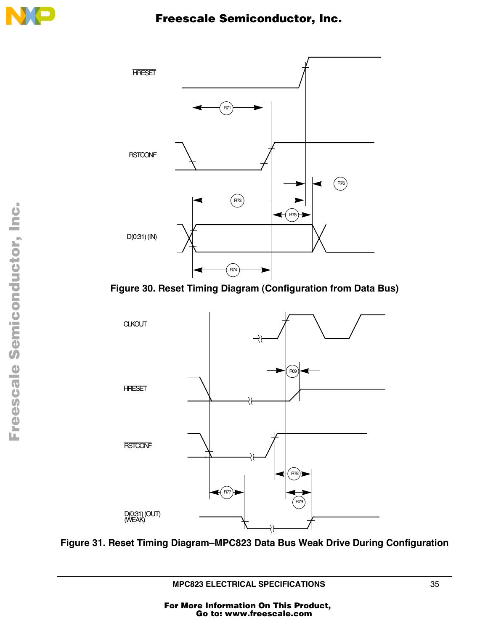



**Figure 30. Reset Timing Diagram (Configuration from Data Bus)**



**Figure 31. Reset Timing Diagram–MPC823 Data Bus Weak Drive During Configuration**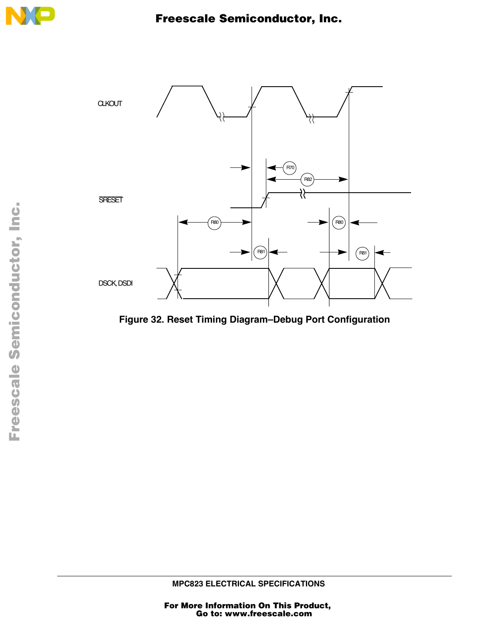



**Figure 32. Reset Timing Diagram–Debug Port Configuration**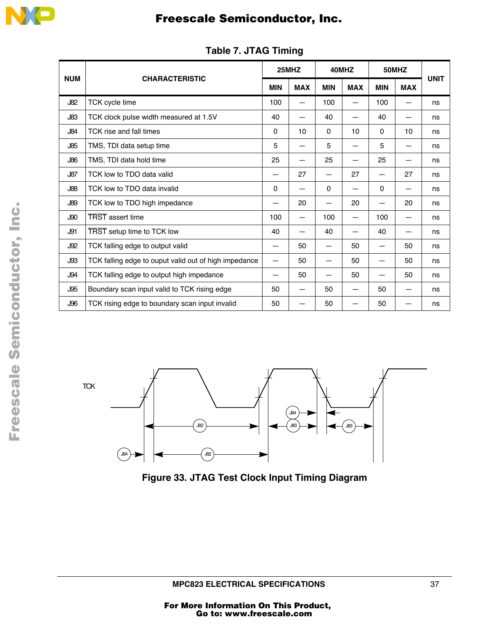

|            |                                                       |            | 25MHZ      | 40MHZ      |            |            | 50MHZ      |             |
|------------|-------------------------------------------------------|------------|------------|------------|------------|------------|------------|-------------|
| <b>NUM</b> | <b>CHARACTERISTIC</b>                                 | <b>MIN</b> | <b>MAX</b> | <b>MIN</b> | <b>MAX</b> | <b>MIN</b> | <b>MAX</b> | <b>UNIT</b> |
| <b>J82</b> | TCK cycle time                                        | 100        |            | 100        |            | 100        |            | ns          |
| <b>J83</b> | TCK clock pulse width measured at 1.5V                | 40         |            | 40         |            | 40         |            | ns          |
| J84        | TCK rise and fall times                               | 0          | 10         | 0          | 10         | 0          | 10         | ns          |
| <b>J85</b> | TMS, TDI data setup time                              | 5          |            | 5          |            | 5          |            | ns          |
| <b>J86</b> | TMS, TDI data hold time                               | 25         |            | 25         |            | 25         |            | ns          |
| <b>J87</b> | TCK low to TDO data valid                             | —          | 27         | —          | 27         | —          | 27         | ns          |
| <b>J88</b> | TCK low to TDO data invalid                           | 0          |            | 0          |            | 0          |            | ns          |
| <b>J89</b> | TCK low to TDO high impedance                         |            | 20         | —          | 20         | —          | 20         | ns          |
| <b>J90</b> | <b>TRST</b> assert time                               | 100        |            | 100        |            | 100        |            | ns          |
| J91        | TRST setup time to TCK low                            | 40         |            | 40         |            | 40         |            | ns          |
| J92        | TCK falling edge to output valid                      | —          | 50         | —          | 50         | —          | 50         | ns          |
| J93        | TCK falling edge to ouput valid out of high impedance |            | 50         |            | 50         | —          | 50         | ns          |
| <b>J94</b> | TCK falling edge to output high impedance             |            | 50         |            | 50         |            | 50         | ns          |
| <b>J95</b> | Boundary scan input valid to TCK rising edge          | 50         |            | 50         |            | 50         |            | ns          |
| <b>J96</b> | TCK rising edge to boundary scan input invalid        | 50         |            | 50         |            | 50         |            | ns          |

#### **Table 7. JTAG Timing**





**Figure 33. JTAG Test Clock Input Timing Diagram**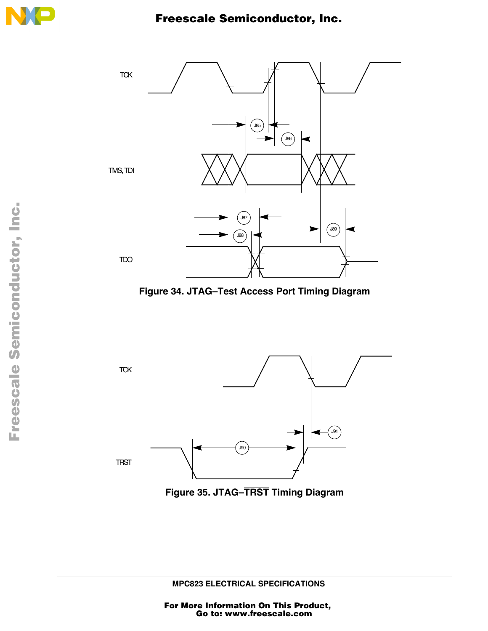







**Figure 35. JTAG–TRST Timing Diagram**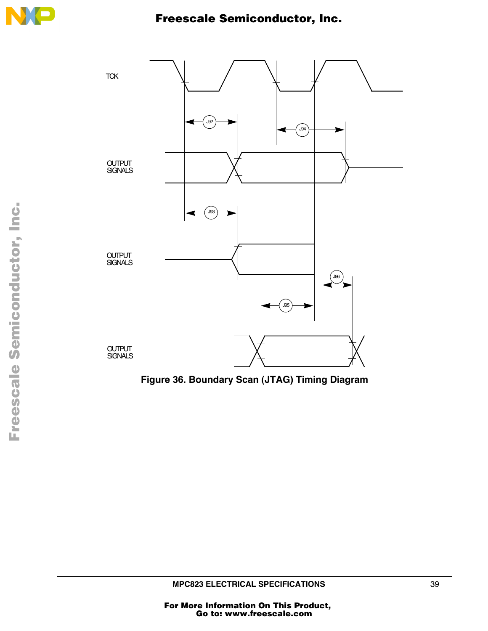



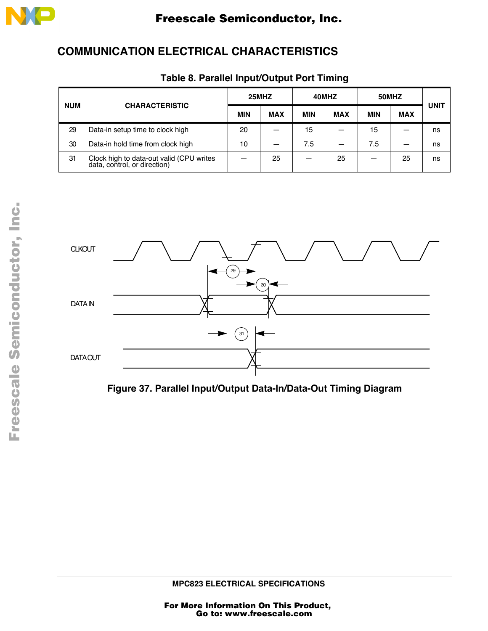

### **COMMUNICATION ELECTRICAL CHARACTERISTICS**

|            |                                                                       |            | 25MHZ      |            | 40MHZ      |            | 50MHZ      |             |
|------------|-----------------------------------------------------------------------|------------|------------|------------|------------|------------|------------|-------------|
| <b>NUM</b> | <b>CHARACTERISTIC</b>                                                 | <b>MIN</b> | <b>MAX</b> | <b>MIN</b> | <b>MAX</b> | <b>MIN</b> | <b>MAX</b> | <b>UNIT</b> |
| 29         | Data-in setup time to clock high                                      | 20         |            | 15         |            | 15         |            | ns          |
| 30         | Data-in hold time from clock high                                     | 10         |            | 7.5        |            | 7.5        |            | ns          |
| 31         | Clock high to data-out valid (CPU writes data, control, or direction) |            | 25         |            | 25         |            | 25         | ns          |

#### **Table 8. Parallel Input/Output Port Timing**



**Figure 37. Parallel Input/Output Data-In/Data-Out Timing Diagram**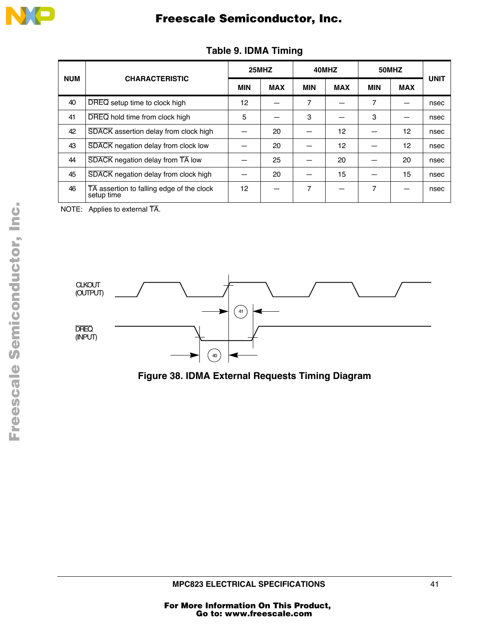

|            |                                                                             |            | 25MHZ      | 40MHZ      |            | 50MHZ      |            |             |
|------------|-----------------------------------------------------------------------------|------------|------------|------------|------------|------------|------------|-------------|
| <b>NUM</b> | <b>CHARACTERISTIC</b>                                                       | <b>MIN</b> | <b>MAX</b> | <b>MIN</b> | <b>MAX</b> | <b>MIN</b> | <b>MAX</b> | <b>UNIT</b> |
| 40         | DREQ setup time to clock high                                               | 12         |            | 7          |            | 7          |            | nsec        |
| 41         | DREQ hold time from clock high                                              | 5          |            | 3          |            | 3          |            | nsec        |
| 42         | <b>SDACK</b> assertion delay from clock high                                |            | 20         |            | 12         |            | 12         | nsec        |
| 43         | SDACK negation delay from clock low                                         |            | 20         |            | 12         |            | 12         | nsec        |
| 44         | SDACK negation delay from TA low                                            |            | 25         |            | 20         |            | 20         | nsec        |
| 45         | <b>SDACK</b> negation delay from clock high                                 |            | 20         |            | 15         |            | 15         | nsec        |
| 46         | $\overline{\text{TA}}$ assertion to falling edge of the clock<br>setup time | 12         |            | 7          |            | 7          |            | nsec        |

#### **Table 9. IDMA Timing**

NOTE: Applies to external TA.



**Figure 38. IDMA External Requests Timing Diagram**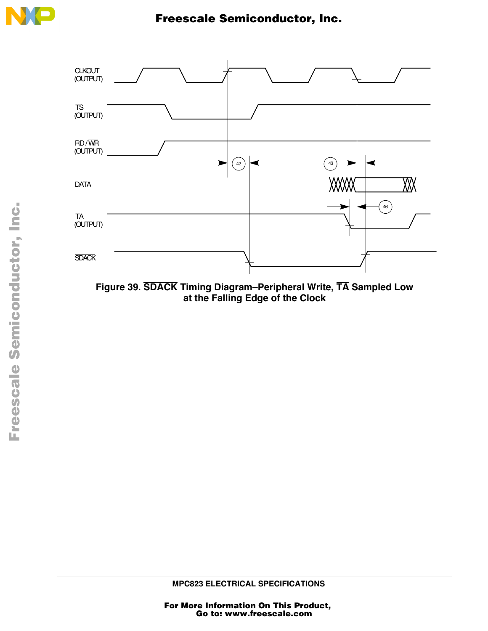



**Figure 39. SDACK Timing Diagram–Peripheral Write, TA Sampled Low at the Falling Edge of the Clock**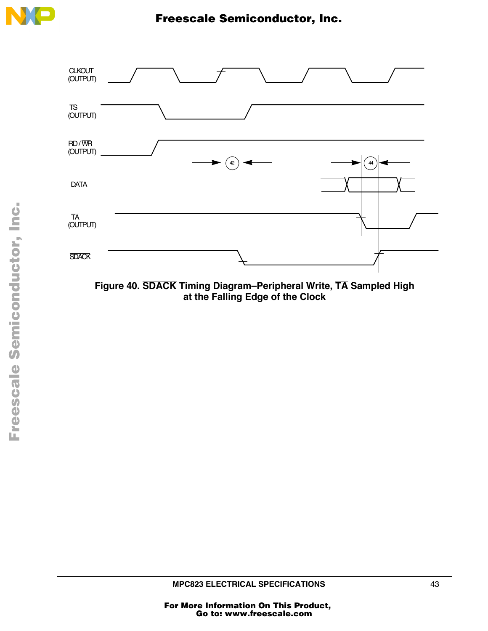



**Figure 40. SDACK Timing Diagram–Peripheral Write, TA Sampled High at the Falling Edge of the Clock**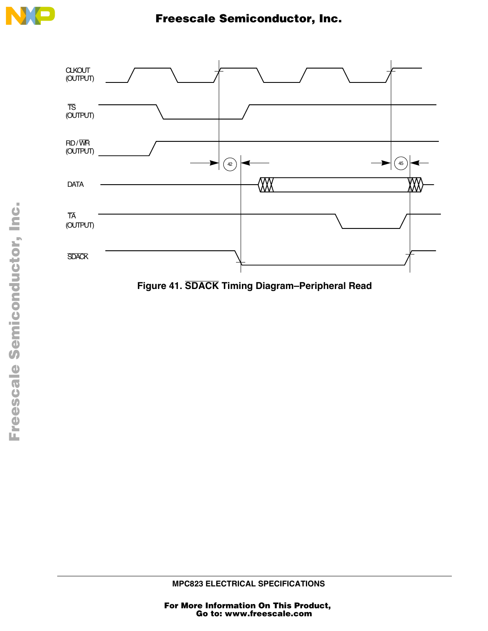



**Figure 41. SDACK Timing Diagram–Peripheral Read**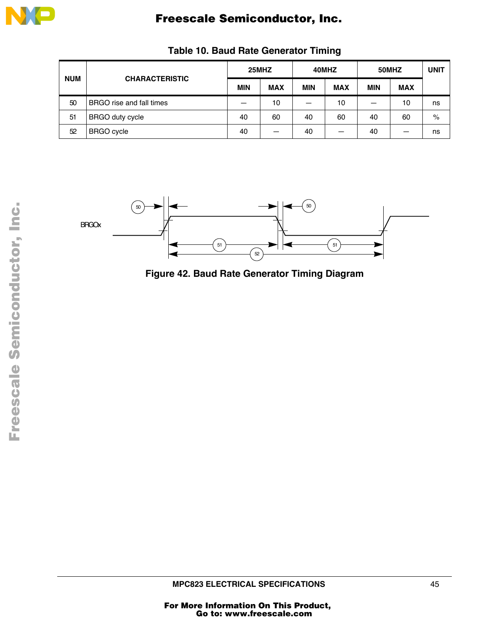

|            |                          |            | 25MHZ      |            | 40MHZ      |            | 50MHZ      |      |
|------------|--------------------------|------------|------------|------------|------------|------------|------------|------|
| <b>NUM</b> | <b>CHARACTERISTIC</b>    | <b>MIN</b> | <b>MAX</b> | <b>MIN</b> | <b>MAX</b> | <b>MIN</b> | <b>MAX</b> |      |
| 50         | BRGO rise and fall times |            | 10         |            | 10         |            | 10         | ns   |
| 51         | BRGO duty cycle          | 40         | 60         | 40         | 60         | 40         | 60         | $\%$ |
| 52         | <b>BRGO</b> cycle        | 40         | –          | 40         |            | 40         |            | ns   |

#### **Table 10. Baud Rate Generator Timing**



Fr  $\boldsymbol{\Phi}$  $\bf \Phi$  $\boldsymbol{\eta}$  $\mathbf 0$  BRGOx 50 50  $\overline{51}$   $\overline{)}$   $\overline{)}$   $\overline{)}$   $\overline{)}$   $\overline{)}$   $\overline{)}$   $\overline{)}$   $\overline{)}$   $\overline{)}$   $\overline{)}$   $\overline{)}$   $\overline{)}$   $\overline{)}$   $\overline{)}$   $\overline{)}$   $\overline{)}$   $\overline{)}$   $\overline{)}$   $\overline{)}$   $\overline{)}$   $\overline{)}$   $\overline{)}$   $\overline{)}$   $\overline{)}$   $\overline{)}$   $\overline{)}$   $\over$  $\frac{1}{52}$ 

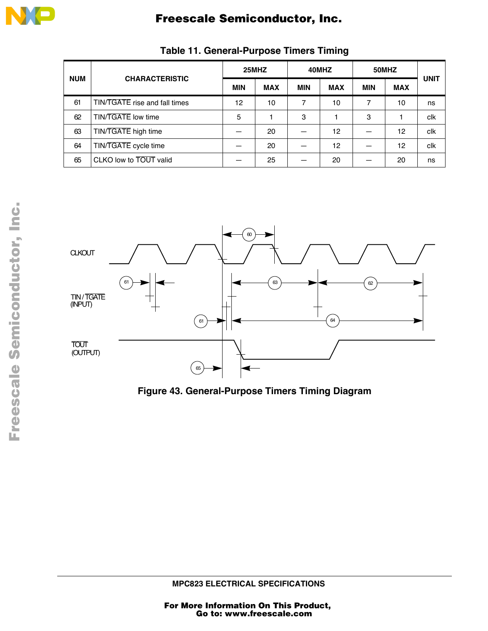

|            |                                      | 25MHZ      |            | 40MHZ      |            | 50MHZ      |            |             |
|------------|--------------------------------------|------------|------------|------------|------------|------------|------------|-------------|
| <b>NUM</b> | <b>CHARACTERISTIC</b>                | <b>MIN</b> | <b>MAX</b> | <b>MIN</b> | <b>MAX</b> | <b>MIN</b> | <b>MAX</b> | <b>UNIT</b> |
| 61         | <b>TIN/TGATE</b> rise and fall times | 12         | 10         | 7          | 10         | 7          | 10         | ns          |
| 62         | TIN/TGATE low time                   | 5          |            | 3          |            | 3          |            | clk         |
| 63         | TIN/TGATE high time                  |            | 20         |            | 12         |            | 12         | clk         |
| 64         | TIN/TGATE cycle time                 |            | 20         |            | 12         |            | 12         | clk         |
| 65         | CLKO low to TOUT valid               |            | 25         |            | 20         |            | 20         | ns          |





**Figure 43. General-Purpose Timers Timing Diagram**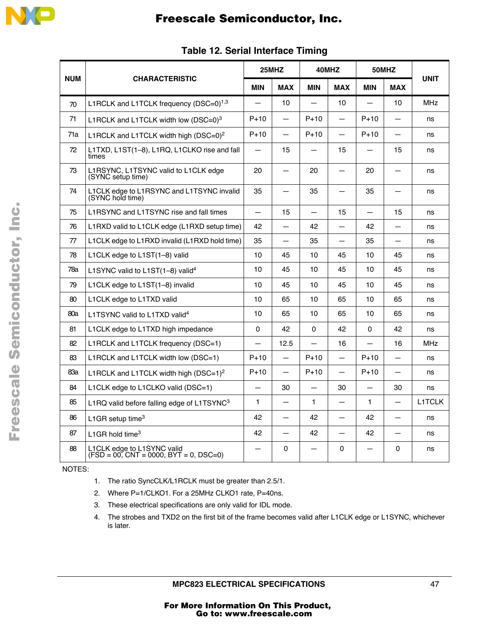

|            |                                                                        |                          | 25MHZ                    | 40MHZ                    |                          |                          | 50MHZ                    |             |
|------------|------------------------------------------------------------------------|--------------------------|--------------------------|--------------------------|--------------------------|--------------------------|--------------------------|-------------|
| <b>NUM</b> | <b>CHARACTERISTIC</b>                                                  | <b>MIN</b>               | <b>MAX</b>               | <b>MIN</b>               | <b>MAX</b>               | <b>MIN</b>               | <b>MAX</b>               | <b>UNIT</b> |
| 70         | L1RCLK and L1TCLK frequency (DSC=0) <sup>1,3</sup>                     |                          | 10                       |                          | 10                       |                          | 10                       | <b>MHz</b>  |
| 71         | L1RCLK and L1TCLK width low (DSC=0) $3$                                | $P+10$                   |                          | $P+10$                   | $\equiv$                 | $P+10$                   |                          | ns          |
| 71a        | L1RCLK and L1TCLK width high (DSC=0) <sup>2</sup>                      | $P+10$                   | $\overline{\phantom{0}}$ | $P+10$                   |                          | $P+10$                   |                          | ns          |
| 72         | L1TXD, L1ST(1-8), L1RQ, L1CLKO rise and fall<br>times                  | $\overline{\phantom{0}}$ | 15                       |                          | 15                       | $\overline{\phantom{0}}$ | 15                       | ns          |
| 73         | L1RSYNC, L1TSYNC valid to L1CLK edge<br>(SYNC setup time)              | 20                       | —                        | 20                       | $\overline{\phantom{0}}$ | 20                       | $\overline{\phantom{0}}$ | ns          |
| 74         | L1CLK edge to L1RSYNC and L1TSYNC invalid<br>(SYNC hold time)          | 35                       | —                        | 35                       | -                        | 35                       | -                        | ns          |
| 75         | L1RSYNC and L1TSYNC rise and fall times                                | $\equiv$                 | 15                       | $\overline{\phantom{0}}$ | 15                       | $\overline{\phantom{0}}$ | 15                       | ns          |
| 76         | L1RXD valid to L1CLK edge (L1RXD setup time)                           | 42                       |                          | 42                       |                          | 42                       |                          | ns          |
| 77         | L1CLK edge to L1RXD invalid (L1RXD hold time)                          | 35                       | $\overline{\phantom{0}}$ | 35                       | $\overline{\phantom{0}}$ | 35                       | —                        | ns          |
| 78         | L1CLK edge to L1ST(1-8) valid                                          | 10                       | 45                       | 10                       | 45                       | 10                       | 45                       | ns          |
| 78a        | L1SYNC valid to L1ST(1-8) valid <sup>4</sup>                           | 10                       | 45                       | 10                       | 45                       | 10                       | 45                       | ns          |
| 79         | L1CLK edge to L1ST(1-8) invalid                                        | 10                       | 45                       | 10                       | 45                       | 10                       | 45                       | ns          |
| 80         | L1CLK edge to L1TXD valid                                              | 10                       | 65                       | 10                       | 65                       | 10                       | 65                       | ns          |
| 80a        | L1TSYNC valid to L1TXD valid <sup>4</sup>                              | 10                       | 65                       | 10                       | 65                       | 10                       | 65                       | ns          |
| 81         | L1CLK edge to L1TXD high impedance                                     | $\Omega$                 | 42                       | $\Omega$                 | 42                       | $\Omega$                 | 42                       | ns          |
| 82         | L1RCLK and L1TCLK frequency (DSC=1)                                    | $\overline{\phantom{0}}$ | 12.5                     | $\overline{\phantom{0}}$ | 16                       | $\overline{\phantom{0}}$ | 16                       | <b>MHz</b>  |
| 83         | L1RCLK and L1TCLK width low (DSC=1)                                    | $P+10$                   | $\overline{\phantom{0}}$ | $P+10$                   |                          | $P+10$                   |                          | ns          |
| 83a        | L1RCLK and L1TCLK width high ( $DSC=1$ ) <sup>2</sup>                  | $P+10$                   | $\overline{\phantom{0}}$ | $P+10$                   | $\overline{\phantom{0}}$ | $P+10$                   |                          | ns          |
| 84         | L1CLK edge to L1CLKO valid (DSC=1)                                     |                          | 30                       |                          | 30                       |                          | 30                       | ns          |
| 85         | L1RQ valid before falling edge of L1TSYNC <sup>3</sup>                 | 1                        | $\overline{\phantom{0}}$ | 1                        | $\overline{\phantom{0}}$ | $\mathbf{1}$             | $\overline{\phantom{0}}$ | L1TCLK      |
| 86         | L1GR setup time $3$                                                    | 42                       | $\overline{\phantom{0}}$ | 42                       | $\overline{\phantom{0}}$ | 42                       | $\overline{\phantom{0}}$ | ns          |
| 87         | L1GR hold time <sup>3</sup>                                            | 42                       |                          | 42                       |                          | 42                       |                          | ns          |
| 88         | L1CLK edge to L1SYNC valid<br>$(FSD = 00, CNT = 0000, BYT = 0, DSC=0)$ |                          | 0                        |                          | 0                        |                          | $\Omega$                 | ns          |

#### **Table 12. Serial Interface Timing**

NOTES:

- 1. The ratio SyncCLK/L1RCLK must be greater than 2.5/1.
- 2. Where P=1/CLKO1. For a 25MHz CLKO1 rate, P=40ns.
- 3. These electrical specifications are only valid for IDL mode.
- 4. The strobes and TXD2 on the first bit of the frame becomes valid after L1CLK edge or L1SYNC, whichever is later.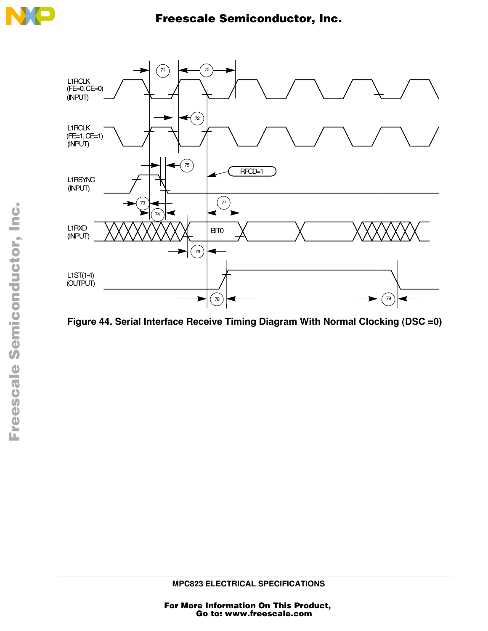



**Figure 44. Serial Interface Receive Timing Diagram With Normal Clocking (DSC =0)**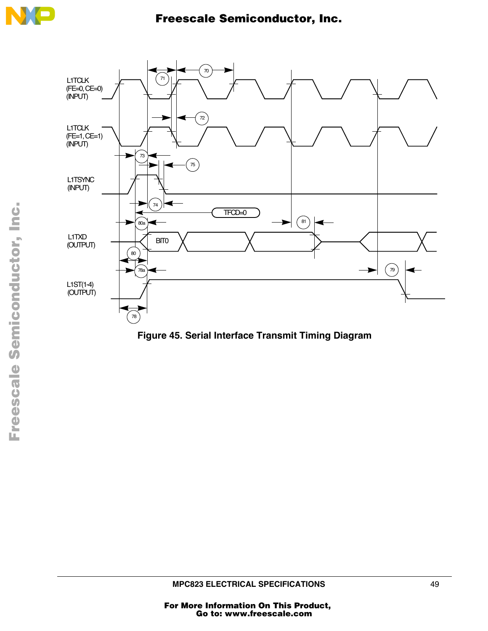



**Figure 45. Serial Interface Transmit Timing Diagram**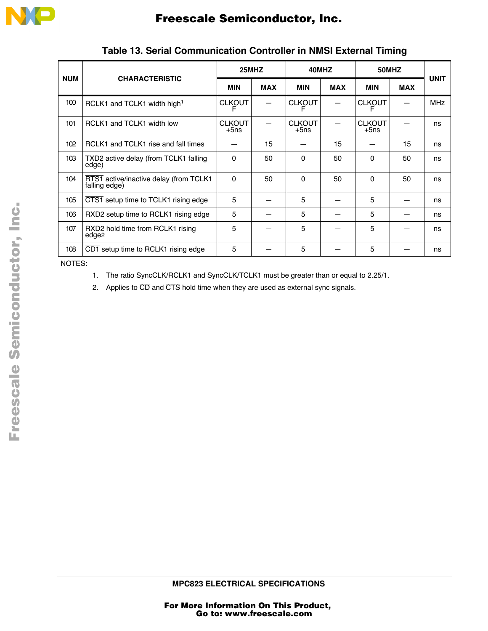

|            |                                                         | 25MHZ                   |            | 40MHZ                   |            | 50MHZ                   |            |             |
|------------|---------------------------------------------------------|-------------------------|------------|-------------------------|------------|-------------------------|------------|-------------|
| <b>NUM</b> | <b>CHARACTERISTIC</b>                                   | <b>MIN</b>              | <b>MAX</b> | MIN                     | <b>MAX</b> | <b>MIN</b>              | <b>MAX</b> | <b>UNIT</b> |
| 100        | RCLK1 and TCLK1 width high <sup>1</sup>                 | <b>CLKOUT</b><br>۲      |            | <b>CLKOUT</b><br>۲      |            | <b>CLKOUT</b>           |            | <b>MHz</b>  |
| 101        | RCLK1 and TCLK1 width low                               | <b>CLKOUT</b><br>$+5ns$ |            | <b>CLKOUT</b><br>$+5ns$ |            | <b>CLKOUT</b><br>$+5ns$ |            | ns          |
| 102        | RCLK1 and TCLK1 rise and fall times                     |                         | 15         |                         | 15         |                         | 15         | ns          |
| 103        | TXD2 active delay (from TCLK1 falling<br>edge)          | 0                       | 50         | 0                       | 50         | 0                       | 50         | ns          |
| 104        | RTS1 active/inactive delay (from TCLK1<br>falling edge) | $\Omega$                | 50         | $\Omega$                | 50         | $\Omega$                | 50         | ns          |
| 105        | CTS1 setup time to TCLK1 rising edge                    | 5                       |            | 5                       |            | 5                       |            | ns          |
| 106        | RXD2 setup time to RCLK1 rising edge                    | 5                       |            | 5                       |            | 5                       |            | ns          |
| 107        | RXD2 hold time from RCLK1 rising<br>edge2               | 5                       |            | 5                       |            | 5                       |            | ns          |
| 108        | CD1 setup time to RCLK1 rising edge                     | 5                       |            | 5                       |            | 5                       |            | ns          |

#### **Table 13. Serial Communication Controller in NMSI External Timing**

NOTES:

1. The ratio SyncCLK/RCLK1 and SyncCLK/TCLK1 must be greater than or equal to 2.25/1.

2. Applies to  $\overline{CD}$  and  $\overline{CTS}$  hold time when they are used as external sync signals.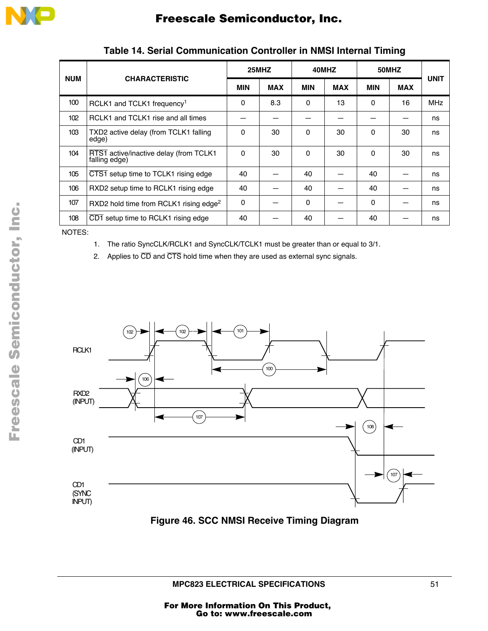

|            |                                                         |            | 25MHZ      | 40MHZ       |            | 50MHZ    |            | <b>UNIT</b> |
|------------|---------------------------------------------------------|------------|------------|-------------|------------|----------|------------|-------------|
| <b>NUM</b> | <b>CHARACTERISTIC</b>                                   | <b>MIN</b> | <b>MAX</b> | <b>MIN</b>  | <b>MAX</b> | MIN      | <b>MAX</b> |             |
| 100        | RCLK1 and TCLK1 frequency <sup>1</sup>                  | $\Omega$   | 8.3        | $\Omega$    | 13         | $\Omega$ | 16         | <b>MHz</b>  |
| 102        | RCLK1 and TCLK1 rise and all times                      |            |            |             |            |          |            | ns          |
| 103        | TXD2 active delay (from TCLK1 falling<br>edge)          | $\Omega$   | 30         | 0           | 30         | 0        | 30         | ns          |
| 104        | RTS1 active/inactive delay (from TCLK1<br>falling edge) | $\Omega$   | 30         | $\Omega$    | 30         | $\Omega$ | 30         | ns          |
| 105        | CTS1 setup time to TCLK1 rising edge                    | 40         |            | 40          |            | 40       |            | ns          |
| 106        | RXD2 setup time to RCLK1 rising edge                    | 40         |            | 40          |            | 40       |            | ns          |
| 107        | RXD2 hold time from RCLK1 rising edge <sup>2</sup>      | $\Omega$   |            | $\mathbf 0$ |            | $\Omega$ |            | ns          |
| 108        | CD1 setup time to RCLK1 rising edge                     | 40         |            | 40          |            | 40       |            | ns          |

#### **Table 14. Serial Communication Controller in NMSI Internal Timing**

NOTES:

1. The ratio SyncCLK/RCLK1 and SyncCLK/TCLK1 must be greater than or equal to 3/1.

2. Applies to  $\overline{CD}$  and  $\overline{CTS}$  hold time when they are used as external sync signals.



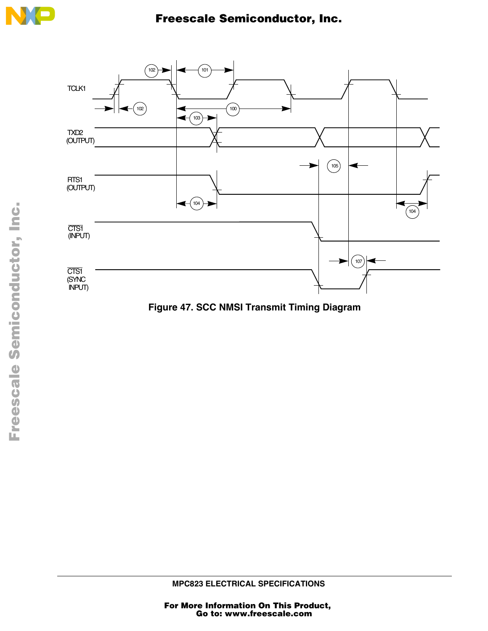



**Figure 47. SCC NMSI Transmit Timing Diagram**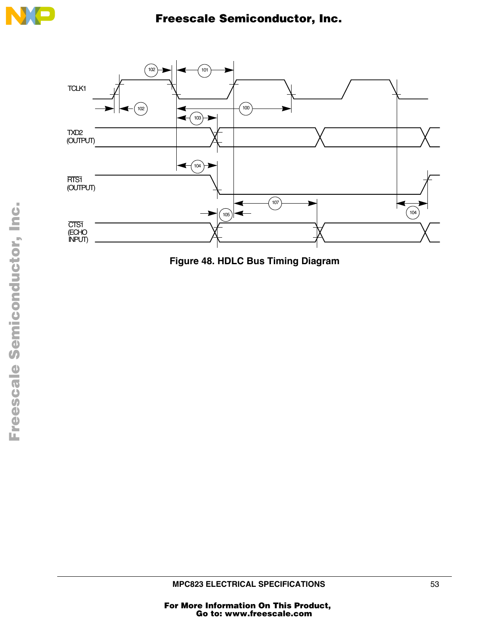



**Figure 48. HDLC Bus Timing Diagram**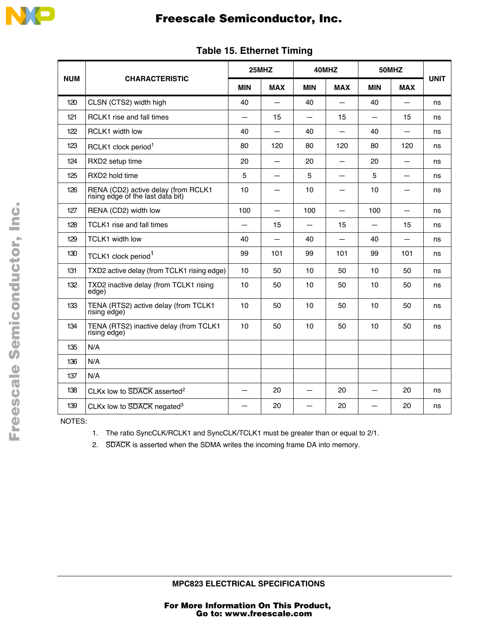

|            |                                                                          |                          | 25MHZ                    |                                  | 40MHZ                    |                          | 50MHZ                    |             |
|------------|--------------------------------------------------------------------------|--------------------------|--------------------------|----------------------------------|--------------------------|--------------------------|--------------------------|-------------|
| <b>NUM</b> | <b>CHARACTERISTIC</b>                                                    | <b>MIN</b>               | <b>MAX</b>               | <b>MIN</b>                       | <b>MAX</b>               | <b>MIN</b>               | <b>MAX</b>               | <b>UNIT</b> |
| 120        | CLSN (CTS2) width high                                                   | 40                       | $\overline{\phantom{0}}$ | 40                               | $\overline{\phantom{0}}$ | 40                       |                          | ns          |
| 121        | RCLK1 rise and fall times                                                | $\overline{\phantom{0}}$ | 15                       | $\overbrace{\phantom{12322111}}$ | 15                       | $\overline{\phantom{0}}$ | 15                       | ns          |
| 122        | <b>RCLK1</b> width low                                                   | 40                       | $\overline{\phantom{0}}$ | 40                               |                          | 40                       |                          | ns          |
| 123        | RCLK1 clock period <sup>1</sup>                                          | 80                       | 120                      | 80                               | 120                      | 80                       | 120                      | ns          |
| 124        | RXD2 setup time                                                          | 20                       | $\overline{\phantom{0}}$ | 20                               |                          | 20                       |                          | ns          |
| 125        | RXD2 hold time                                                           | 5                        | —                        | 5                                | —                        | 5                        | $\overline{\phantom{0}}$ | ns          |
| 126        | RENA (CD2) active delay (from RCLK1<br>rising edge of the last data bit) | 10                       |                          | 10                               |                          | 10                       |                          | ns          |
| 127        | RENA (CD2) width low                                                     | 100                      | $\overline{\phantom{0}}$ | 100                              | $\overline{\phantom{0}}$ | 100                      | $\overline{\phantom{0}}$ | ns          |
| 128        | TCLK1 rise and fall times                                                | $\overline{\phantom{0}}$ | 15                       | $\overline{\phantom{0}}$         | 15                       |                          | 15                       | ns          |
| 129        | <b>TCLK1</b> width low                                                   | 40                       | $\overline{\phantom{0}}$ | 40                               | $\overline{\phantom{0}}$ | 40                       |                          | ns          |
| 130        | TCLK1 clock period <sup>1</sup>                                          | 99                       | 101                      | 99                               | 101                      | 99                       | 101                      | ns          |
| 131        | TXD2 active delay (from TCLK1 rising edge)                               | 10                       | 50                       | 10                               | 50                       | 10                       | 50                       | ns          |
| 132        | TXD2 inactive delay (from TCLK1 rising<br>edge)                          | 10                       | 50                       | 10                               | 50                       | 10                       | 50                       | ns          |
| 133        | TENA (RTS2) active delay (from TCLK1<br>rising edge)                     | 10                       | 50                       | 10                               | 50                       | 10                       | 50                       | ns          |
| 134        | TENA (RTS2) inactive delay (from TCLK1<br>rising edge)                   | 10                       | 50                       | 10                               | 50                       | 10                       | 50                       | ns          |
| 135        | N/A                                                                      |                          |                          |                                  |                          |                          |                          |             |
| 136        | N/A                                                                      |                          |                          |                                  |                          |                          |                          |             |
| 137        | N/A                                                                      |                          |                          |                                  |                          |                          |                          |             |
| 138        | CLKx low to SDACK asserted <sup>2</sup>                                  |                          | 20                       |                                  | 20                       |                          | 20                       | ns          |
| 139        | CLKx low to SDACK negated <sup>3</sup>                                   |                          | 20                       |                                  | 20                       |                          | 20                       | ns          |

### **Table 15. Ethernet Timing**

NOTES:

- 1. The ratio SyncCLK/RCLK1 and SyncCLK/TCLK1 must be greater than or equal to 2/1.
- 2. SDACK is asserted when the SDMA writes the incoming frame DA into memory.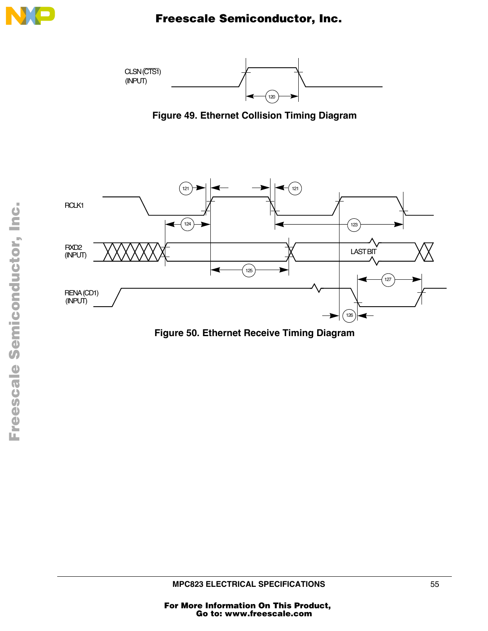



**Figure 49. Ethernet Collision Timing Diagram**



**Figure 50. Ethernet Receive Timing Diagram**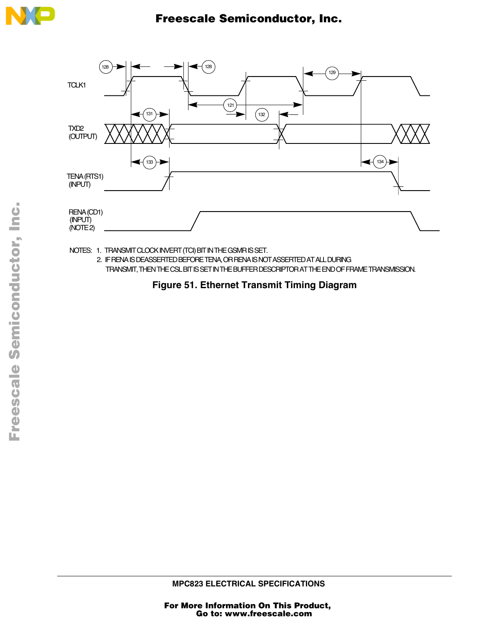



NOTES: 1. TRANSMIT CLOCK INVERT (TCI) BIT IN THE GSMR IS SET.

2. IF RENA IS DEASSERTED BEFORE TENA, OR RENA IS NOT ASSERTED AT ALL DURING TRANSMIT, THEN THE CSL BIT IS SET IN THE BUFFER DESCRIPTOR AT THE END OF FRAME TRANSMISSION.

**Figure 51. Ethernet Transmit Timing Diagram**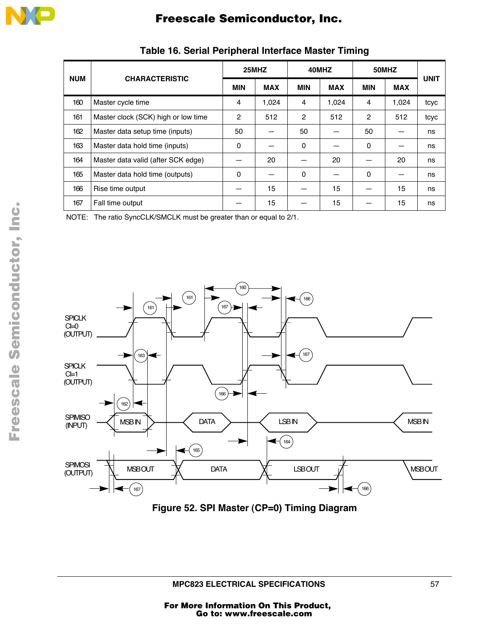

|            |                                     |                | 25MHZ      |                | 40MHZ      |                | 50MHZ      |             |
|------------|-------------------------------------|----------------|------------|----------------|------------|----------------|------------|-------------|
| <b>NUM</b> | <b>CHARACTERISTIC</b>               | <b>MIN</b>     | <b>MAX</b> | <b>MIN</b>     | <b>MAX</b> | <b>MIN</b>     | <b>MAX</b> | <b>UNIT</b> |
| 160        | Master cycle time                   | $\overline{4}$ | 1,024      | $\overline{4}$ | 1,024      | 4              | 1,024      | tcyc        |
| 161        | Master clock (SCK) high or low time | $\overline{c}$ | 512        | $\overline{c}$ | 512        | $\overline{c}$ | 512        | tcyc        |
| 162        | Master data setup time (inputs)     | 50             |            | 50             |            | 50             |            | ns          |
| 163        | Master data hold time (inputs)      | $\mathbf 0$    |            | $\mathbf{0}$   |            | $\mathbf{0}$   |            | ns          |
| 164        | Master data valid (after SCK edge)  |                | 20         |                | 20         |                | 20         | ns          |
| 165        | Master data hold time (outputs)     | 0              |            | $\mathbf{0}$   |            | $\Omega$       |            | ns          |
| 166        | Rise time output                    |                | 15         |                | 15         |                | 15         | ns          |
| 167        | Fall time output                    |                | 15         |                | 15         |                | 15         | ns          |

| Table 16. Serial Peripheral Interface Master Timing |  |
|-----------------------------------------------------|--|
|-----------------------------------------------------|--|

NOTE: The ratio SyncCLK/SMCLK must be greater than or equal to 2/1.



**Figure 52. SPI Master (CP=0) Timing Diagram**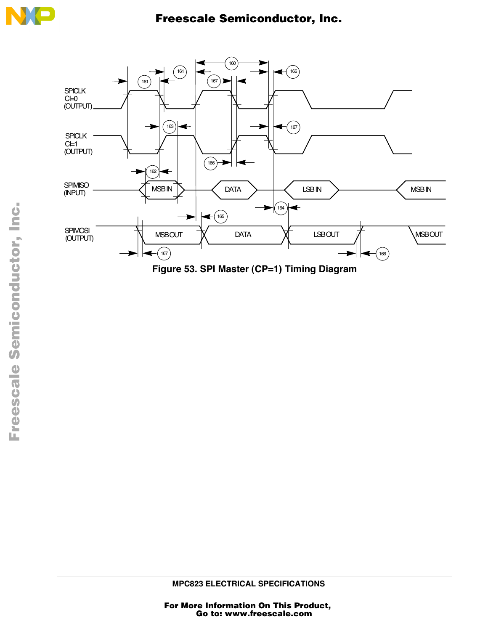



**Figure 53. SPI Master (CP=1) Timing Diagram**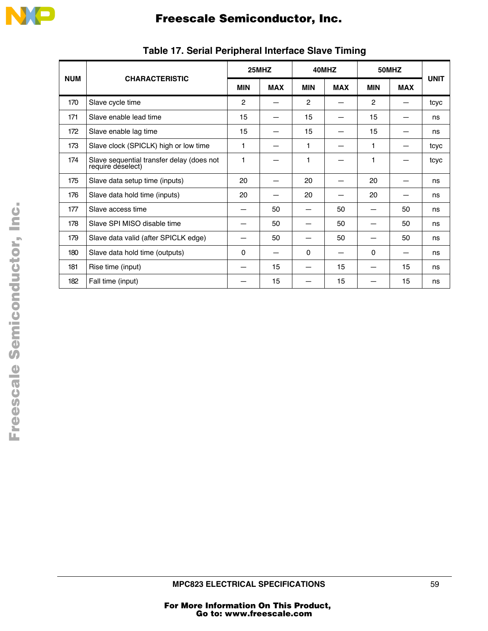

|            | <b>CHARACTERISTIC</b>                                          |                | 25MHZ      |                | 40MHZ      |                | 50MHZ      |             |
|------------|----------------------------------------------------------------|----------------|------------|----------------|------------|----------------|------------|-------------|
| <b>NUM</b> |                                                                | <b>MIN</b>     | <b>MAX</b> | <b>MIN</b>     | <b>MAX</b> | <b>MIN</b>     | <b>MAX</b> | <b>UNIT</b> |
| 170        | Slave cycle time                                               | $\overline{2}$ |            | $\overline{c}$ |            | $\overline{2}$ |            | tcyc        |
| 171        | Slave enable lead time                                         | 15             |            | 15             |            | 15             |            | ns          |
| 172        | Slave enable lag time                                          | 15             |            | 15             |            | 15             |            | ns          |
| 173        | Slave clock (SPICLK) high or low time                          | 1              |            | 1              |            | 1              |            | tcyc        |
| 174        | Slave sequential transfer delay (does not<br>require deselect) | 1              |            | 1              |            | 1              |            | tcyc        |
| 175        | Slave data setup time (inputs)                                 | 20             |            | 20             |            | 20             |            | ns          |
| 176        | Slave data hold time (inputs)                                  | 20             |            | 20             |            | 20             |            | ns          |
| 177        | Slave access time                                              |                | 50         |                | 50         |                | 50         | ns          |
| 178        | Slave SPI MISO disable time                                    |                | 50         |                | 50         |                | 50         | ns          |
| 179        | Slave data valid (after SPICLK edge)                           |                | 50         |                | 50         |                | 50         | ns          |
| 180        | Slave data hold time (outputs)                                 | 0              |            | $\Omega$       |            | $\mathbf{0}$   |            | ns          |
| 181        | Rise time (input)                                              |                | 15         |                | 15         |                | 15         | ns          |
| 182        | Fall time (input)                                              |                | 15         |                | 15         |                | 15         | ns          |

#### **Table 17. Serial Peripheral Interface Slave Timing**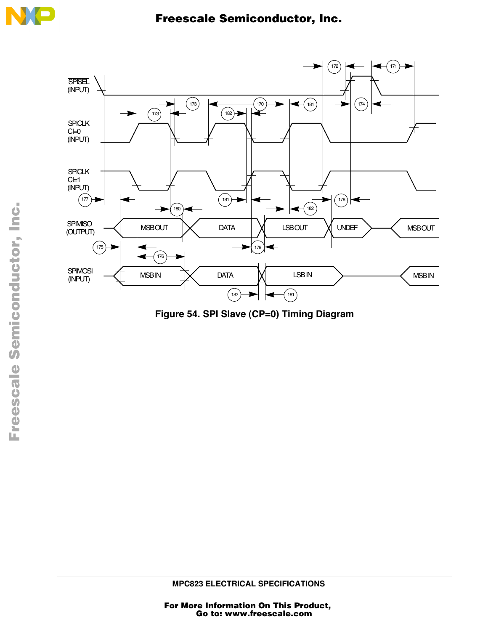



**Figure 54. SPI Slave (CP=0) Timing Diagram**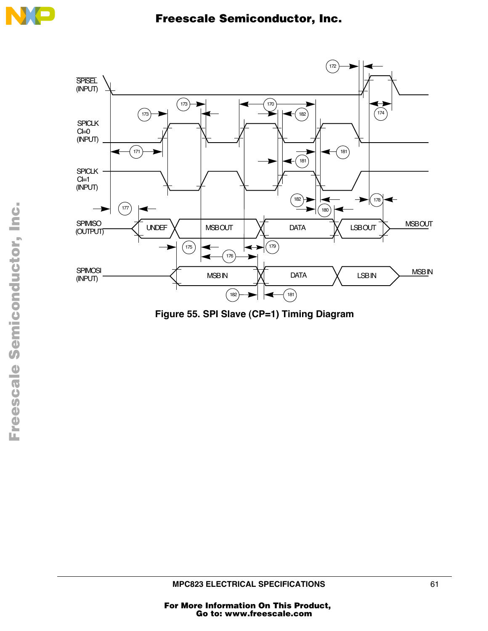



**Figure 55. SPI Slave (CP=1) Timing Diagram**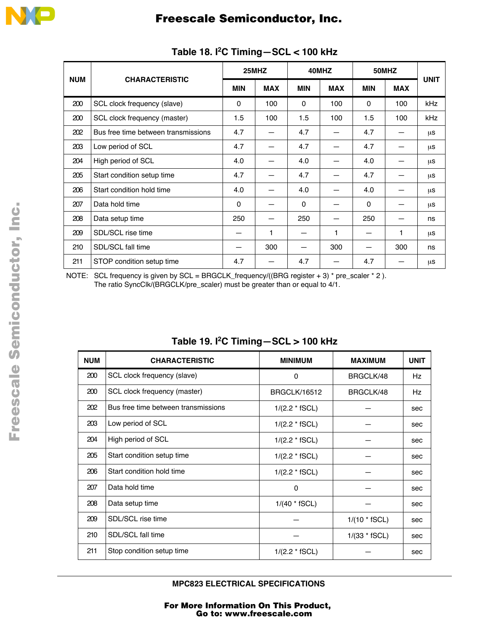

| <b>CHARACTERISTIC</b>               |              | 25MHZ      |              |            |              |            |             |  |
|-------------------------------------|--------------|------------|--------------|------------|--------------|------------|-------------|--|
|                                     | <b>MIN</b>   | <b>MAX</b> | <b>MIN</b>   | <b>MAX</b> | <b>MIN</b>   | <b>MAX</b> | <b>UNIT</b> |  |
| SCL clock frequency (slave)         | $\mathbf{0}$ | 100        | $\mathbf{0}$ | 100        | $\mathbf{0}$ | 100        | <b>kHz</b>  |  |
| SCL clock frequency (master)        | 1.5          | 100        | 1.5          | 100        | 1.5          | 100        | <b>kHz</b>  |  |
| Bus free time between transmissions | 4.7          |            | 4.7          |            | 4.7          |            | μS          |  |
| Low period of SCL                   | 4.7          |            | 4.7          |            | 4.7          |            | $\mu$ S     |  |
| High period of SCL                  | 4.0          |            | 4.0          |            | 4.0          |            | μS          |  |
| Start condition setup time          | 4.7          |            | 4.7          |            | 4.7          |            | μS          |  |
| Start condition hold time           | 4.0          |            | 4.0          |            | 4.0          |            | μS          |  |
| Data hold time                      | 0            |            | $\mathbf{0}$ |            | $\mathbf{0}$ |            | μS          |  |
| Data setup time                     | 250          |            | 250          |            | 250          |            | ns          |  |
| SDL/SCL rise time                   |              | 1          |              | 1          |              | 1          | μS          |  |
| SDL/SCL fall time                   |              | 300        |              | 300        |              | 300        | ns          |  |
| STOP condition setup time           | 4.7          |            | 4.7          |            | 4.7          |            | μS          |  |
|                                     |              |            |              |            | 40MHZ        |            | 50MHZ       |  |

#### **Table 18. I2C Timing—SCL < 100 kHz**

NOTE: SCL frequency is given by SCL = BRGCLK\_frequency/((BRG register + 3) \* pre\_scaler \* 2). The ratio SyncClk/(BRGCLK/pre\_scaler) must be greater than or equal to 4/1.

| <b>NUM</b> | <b>CHARACTERISTIC</b>               | <b>MINIMUM</b>      | <b>MAXIMUM</b>  | <b>UNIT</b> |
|------------|-------------------------------------|---------------------|-----------------|-------------|
| 200        | SCL clock frequency (slave)         | 0                   | BRGCLK/48       | Hz          |
| 200        | SCL clock frequency (master)        | <b>BRGCLK/16512</b> | BRGCLK/48       | Hz          |
| 202        | Bus free time between transmissions | $1/(2.2 * fSCL)$    |                 | sec         |
| 203        | Low period of SCL                   | $1/(2.2 * fSCL)$    |                 | sec         |
| 204        | High period of SCL                  | $1/(2.2 * fSCL)$    |                 | sec         |
| 205        | Start condition setup time          | $1/(2.2 * fSCL)$    |                 | sec         |
| 206        | Start condition hold time           | $1/(2.2 * fSCL)$    |                 | sec         |
| 207        | Data hold time                      | 0                   |                 | sec         |
| 208        | Data setup time                     | $1/(40 * fSCL)$     |                 | sec         |
| 209        | SDL/SCL rise time                   |                     | $1/(10 * fSCL)$ | sec         |
| 210        | SDL/SCL fall time                   |                     | $1/(33 * fSCL)$ | sec         |
| 211        | Stop condition setup time           | $1/(2.2 * fSCL)$    |                 | sec         |

#### **Table 19. I2C Timing—SCL > 100 kHz**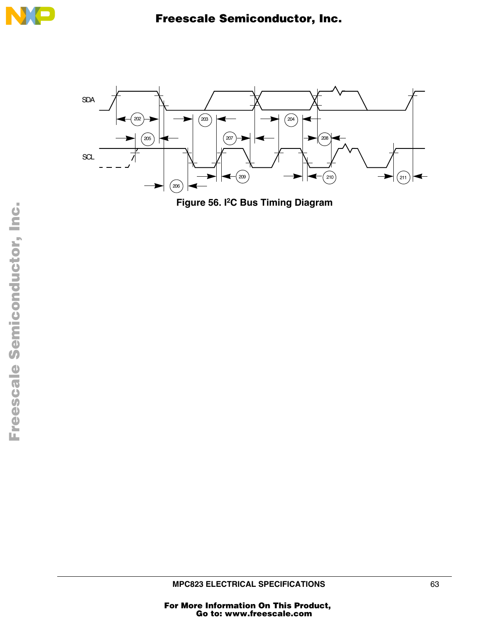



**Figure 56. I2C Bus Timing Diagram**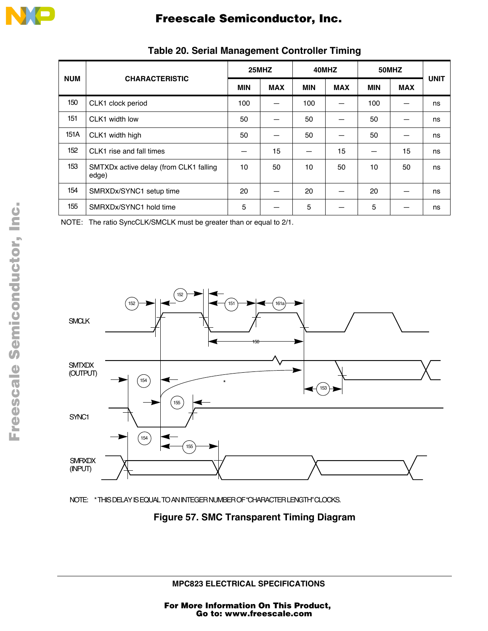

|            | <b>CHARACTERISTIC</b>                           | 25MHZ      |            | 40MHZ      |            | 50MHZ      |            |             |
|------------|-------------------------------------------------|------------|------------|------------|------------|------------|------------|-------------|
| <b>NUM</b> |                                                 | <b>MIN</b> | <b>MAX</b> | <b>MIN</b> | <b>MAX</b> | <b>MIN</b> | <b>MAX</b> | <b>UNIT</b> |
| 150        | CLK1 clock period                               | 100        |            | 100        |            | 100        |            | ns          |
| 151        | CLK1 width low                                  | 50         |            | 50         |            | 50         |            | ns          |
| 151A       | CLK1 width high                                 | 50         |            | 50         |            | 50         |            | ns          |
| 152        | CLK1 rise and fall times                        |            | 15         |            | 15         |            | 15         | ns          |
| 153        | SMTXDx active delay (from CLK1 falling<br>edge) | 10         | 50         | 10         | 50         | 10         | 50         | ns          |
| 154        | SMRXDx/SYNC1 setup time                         | 20         |            | 20         |            | 20         |            | ns          |
| 155        | SMRXDx/SYNC1 hold time                          | 5          |            | 5          |            | 5          |            | ns          |

#### **Table 20. Serial Management Controller Timing**

NOTE: The ratio SyncCLK/SMCLK must be greater than or equal to 2/1.



NOTE: \* THIS DELAY IS EQUAL TO AN INTEGER NUMBER OF "CHARACTER LENGTH" CLOCKS.

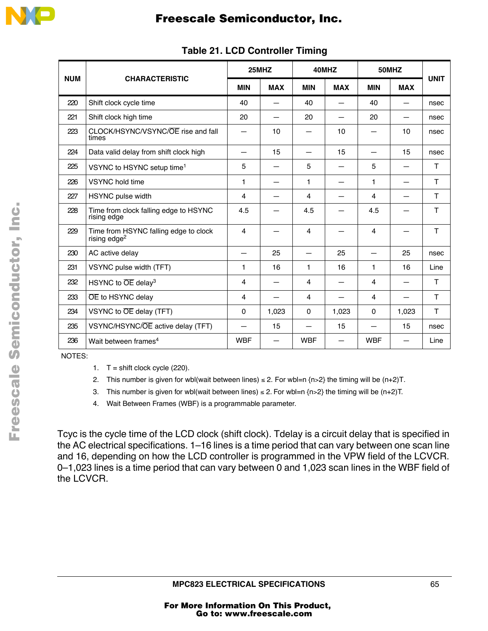

|            | <b>CHARACTERISTIC</b>                                             | 25MHZ          |                          | 40MHZ          |            | 50MHZ          |            |              |
|------------|-------------------------------------------------------------------|----------------|--------------------------|----------------|------------|----------------|------------|--------------|
| <b>NUM</b> |                                                                   | <b>MIN</b>     | <b>MAX</b>               | <b>MIN</b>     | <b>MAX</b> | <b>MIN</b>     | <b>MAX</b> | <b>UNIT</b>  |
| 220        | Shift clock cycle time                                            | 40             | $\overline{\phantom{0}}$ | 40             |            | 40             |            | nsec         |
| 221        | Shift clock high time                                             | 20             |                          | 20             |            | 20             |            | nsec         |
| 223        | CLOCK/HSYNC/VSYNC/OE rise and fall<br>times                       |                | 10                       | –              | 10         |                | 10         | nsec         |
| 224        | Data valid delay from shift clock high                            |                | 15                       |                | 15         |                | 15         | nsec         |
| 225        | VSYNC to HSYNC setup time <sup>1</sup>                            | 5              |                          | 5              |            | 5              |            | $\mathsf{T}$ |
| 226        | <b>VSYNC</b> hold time                                            | $\mathbf{1}$   |                          | 1              |            | 1              |            | T.           |
| 227        | HSYNC pulse width                                                 | 4              |                          | $\overline{4}$ |            | 4              |            | $\mathsf{T}$ |
| 228        | Time from clock falling edge to HSYNC<br>rising edge              | 4.5            |                          | 4.5            |            | 4.5            |            | T            |
| 229        | Time from HSYNC falling edge to clock<br>rising edge <sup>2</sup> | 4              |                          | $\overline{4}$ |            | $\overline{4}$ |            | $\mathsf T$  |
| 230        | AC active delay                                                   |                | 25                       |                | 25         |                | 25         | nsec         |
| 231        | VSYNC pulse width (TFT)                                           | 1              | 16                       | 1              | 16         | 1              | 16         | Line         |
| 232        | HSYNC to OE delay <sup>3</sup>                                    | 4              |                          | $\overline{4}$ |            | 4              |            | $\mathsf{T}$ |
| 233        | OE to HSYNC delay                                                 | $\overline{4}$ |                          | $\overline{4}$ |            | 4              |            | $\mathsf{T}$ |
| 234        | VSYNC to OE delay (TFT)                                           | $\Omega$       | 1,023                    | 0              | 1,023      | $\mathbf 0$    | 1,023      | $\mathsf{T}$ |
| 235        | VSYNC/HSYNC/OE active delay (TFT)                                 |                | 15                       |                | 15         |                | 15         | nsec         |
| 236        | Wait between frames <sup>4</sup>                                  | <b>WBF</b>     |                          | <b>WBF</b>     |            | <b>WBF</b>     |            | Line         |

#### **Table 21. LCD Controller Timing**

NOTES:

1.  $T =$  shift clock cycle (220).

- 2. This number is given for wbl(wait between lines)  $\leq$  2. For wbl=n {n>2} the timing will be (n+2)T.
- 3. This number is given for wbl(wait between lines)  $\leq 2$ . For wbl=n {n>2} the timing will be (n+2)T.

4. Wait Between Frames (WBF) is a programmable parameter.

Tcyc is the cycle time of the LCD clock (shift clock). Tdelay is a circuit delay that is specified in the AC electrical specifications. 1–16 lines is a time period that can vary between one scan line and 16, depending on how the LCD controller is programmed in the VPW field of the LCVCR. 0–1,023 lines is a time period that can vary between 0 and 1,023 scan lines in the WBF field of the LCVCR.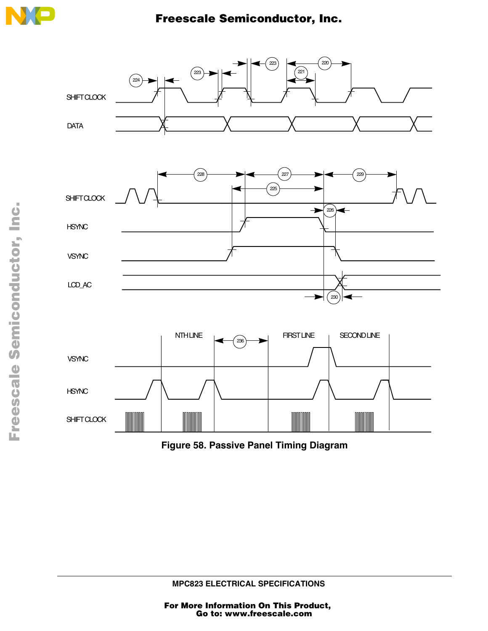

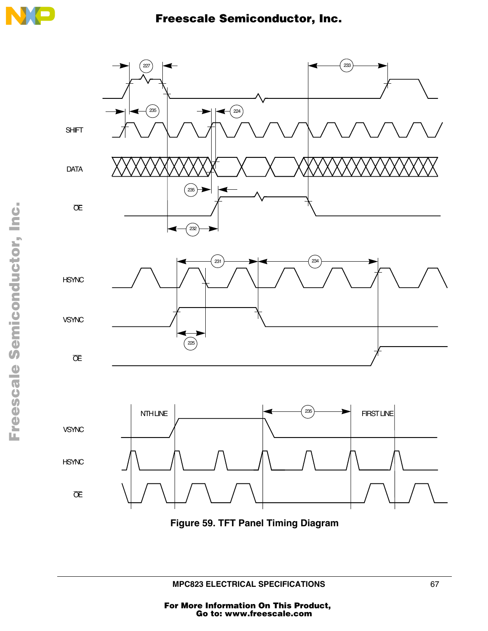



**Figure 59. TFT Panel Timing Diagram**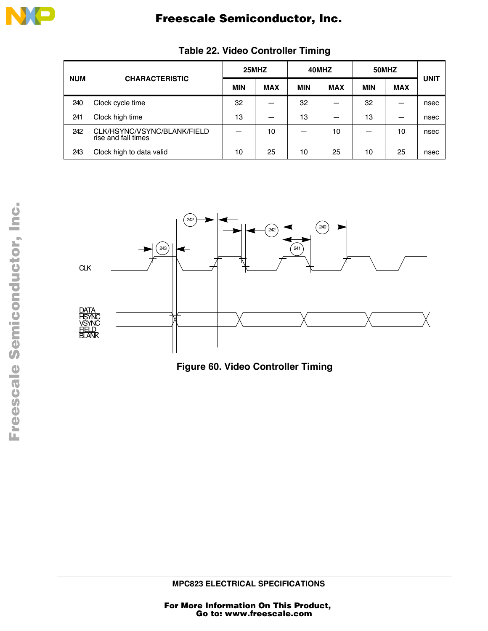

| <b>NUM</b> | <b>CHARACTERISTIC</b>                              | 25MHZ      |            | 40MHZ      |            | 50MHZ      |            |      |
|------------|----------------------------------------------------|------------|------------|------------|------------|------------|------------|------|
|            |                                                    | <b>MIN</b> | <b>MAX</b> | <b>MIN</b> | <b>MAX</b> | <b>MIN</b> | <b>MAX</b> | UNIT |
| 240        | Clock cycle time                                   | 32         |            | 32         |            | 32         |            | nsec |
| 241        | Clock high time                                    | 13         |            | 13         |            | 13         |            | nsec |
| 242        | CLK/HSYNC/VSYNC/BLANK/FIELD<br>rise and fall times |            | 10         |            | 10         |            | 10         | nsec |
| 243        | Clock high to data valid                           | 10         | 25         | 10         | 25         | 10         | 25         | nsec |

#### **Table 22. Video Controller Timing**



**Figure 60. Video Controller Timing**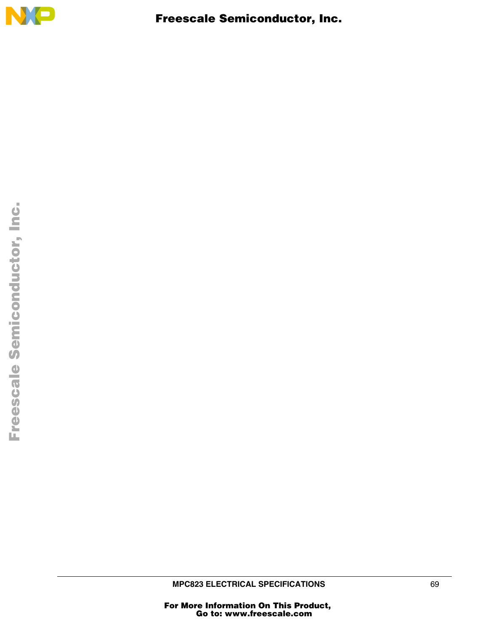